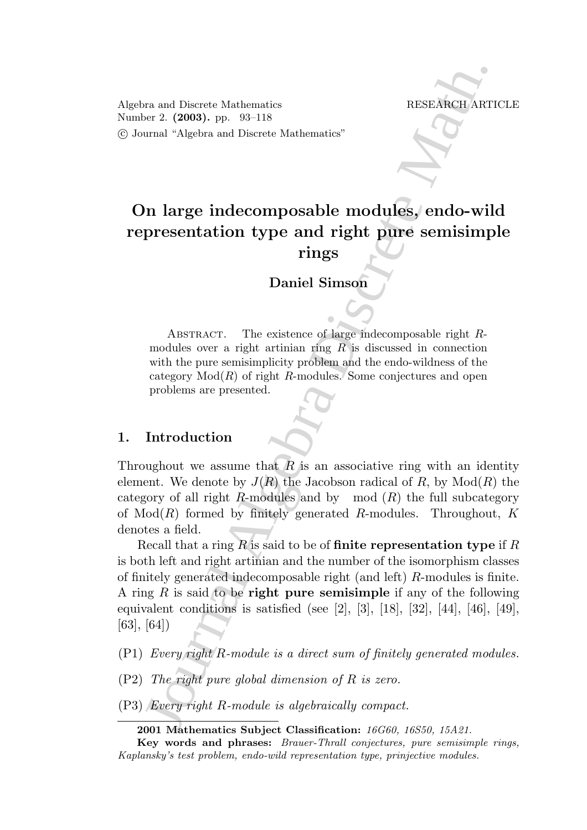Algebra and Discrete Mathematics RESEARCH ARTICLE Number 2. (2003). pp. 93–118 °c Journal "Algebra and Discrete Mathematics"

# On large indecomposable modules, endo-wild representation type and right pure semisimple rings

# Daniel Simson

ABSTRACT. The existence of large indecomposable right  $R$ modules over a right artinian ring  $R$  is discussed in connection with the pure semisimplicity problem and the endo-wildness of the category  $Mod(R)$  of right R-modules. Some conjectures and open problems are presented.

## 1. Introduction

Throughout we assume that  $\overline{R}$  is an associative ring with an identity element. We denote by  $J(R)$  the Jacobson radical of R, by  $Mod(R)$  the category of all right R-modules and by mod  $(R)$  the full subcategory of  $Mod(R)$  formed by finitely generated R-modules. Throughout, K denotes a field.

For and Discrete Mathematics<br>
FESEARCII ART<br>
FESEARCII ART<br>
FESEARCII ART<br>
FINITED TRISHED AND TRISHED INTO THE COMMON CONSULT CONSULT CONSULT CONSULT CONSULT CONSULT THE EXECUTE CONSULT THE CONSULT TRISHED TRISHED TRISHE Recall that a ring  $R$  is said to be of finite representation type if  $R$ is both left and right artinian and the number of the isomorphism classes of finitely generated indecomposable right (and left) R-modules is finite. A ring R is said to be right pure semisimple if any of the following equivalent conditions is satisfied (see [2], [3], [18], [32], [44], [46], [49], [63], [64])

- (P1) Every right R-module is a direct sum of finitely generated modules.
- (P2) The right pure global dimension of R is zero.
- (P3) Every right R-module is algebraically compact.

<sup>2001</sup> Mathematics Subject Classification: 16G60, 16S50, 15A21.

Key words and phrases: Brauer-Thrall conjectures, pure semisimple rings, Kaplansky's test problem, endo-wild representation type, prinjective modules.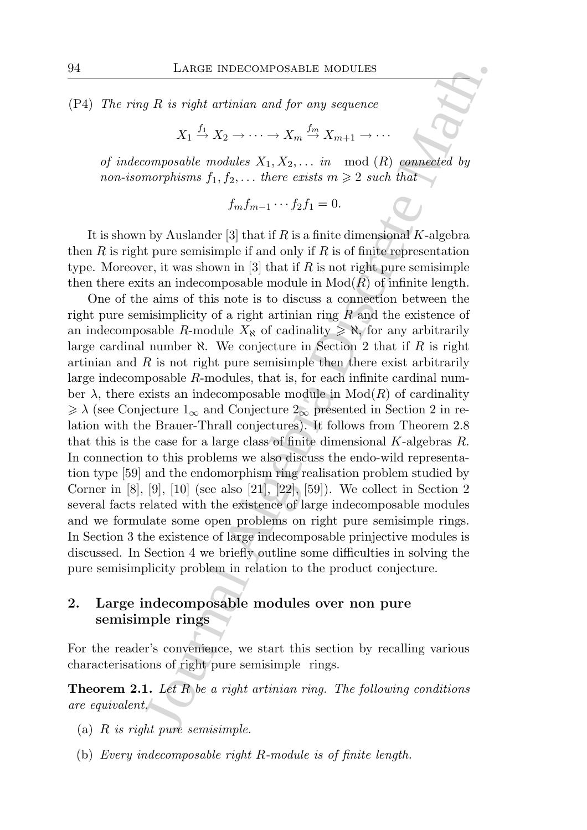(P4) The ring R is right artinian and for any sequence

$$
X_1 \stackrel{f_1}{\to} X_2 \to \cdots \to X_m \stackrel{f_m}{\to} X_{m+1} \to \cdots
$$

of indecomposable modules  $X_1, X_2, \ldots$  in mod  $(R)$  connected by non-isomorphisms  $f_1, f_2, \ldots$  there exists  $m \geq 2$  such that

$$
f_m f_{m-1} \cdots f_2 f_1 = 0.
$$

It is shown by Auslander [3] that if R is a finite dimensional K-algebra then R is right pure semisimple if and only if R is of finite representation type. Moreover, it was shown in [3] that if R is not right pure semisimple then there exits an indecomposable module in  $Mod(R)$  of infinite length.

LARGE INDECOMPOSABLE MODULES<br> *gR* is right artinian and for any sequence<br>  $X_1 \xrightarrow{f_1} X_2 \rightarrow \cdots \rightarrow X_m \xrightarrow{f_m} X_{m+1} \rightarrow \cdots$ <br>
composable modules  $X_1, X_2, \ldots$ , in mod (*R*) connected by<br>
morphisms  $f_1, f_2, \ldots$  there exists  $m \$ One of the aims of this note is to discuss a connection between the right pure semisimplicity of a right artinian ring  $R$  and the existence of an indecomposable R-module  $X_N$  of cadinality  $\geqslant \aleph$ , for any arbitrarily large cardinal number  $\aleph$ . We conjecture in Section 2 that if R is right artinian and  $R$  is not right pure semisimple then there exist arbitrarily large indecomposable R-modules, that is, for each infinite cardinal number  $\lambda$ , there exists an indecomposable module in  $Mod(R)$  of cardinality  $\geq \lambda$  (see Conjecture  $1_{\infty}$  and Conjecture  $2_{\infty}$  presented in Section 2 in relation with the Brauer-Thrall conjectures). It follows from Theorem 2.8 that this is the case for a large class of finite dimensional  $K$ -algebras  $R$ . In connection to this problems we also discuss the endo-wild representation type [59] and the endomorphism ring realisation problem studied by Corner in [8], [9], [10] (see also [21], [22], [59]). We collect in Section 2 several facts related with the existence of large indecomposable modules and we formulate some open problems on right pure semisimple rings. In Section 3 the existence of large indecomposable prinjective modules is discussed. In Section 4 we briefly outline some difficulties in solving the pure semisimplicity problem in relation to the product conjecture.

# 2. Large indecomposable modules over non pure semisimple rings

For the reader's convenience, we start this section by recalling various characterisations of right pure semisimple rings.

**Theorem 2.1.** Let  $R$  be a right artinian ring. The following conditions are equivalent.

- (a)  $R$  is right pure semisimple.
- (b) Every indecomposable right R-module is of finite length.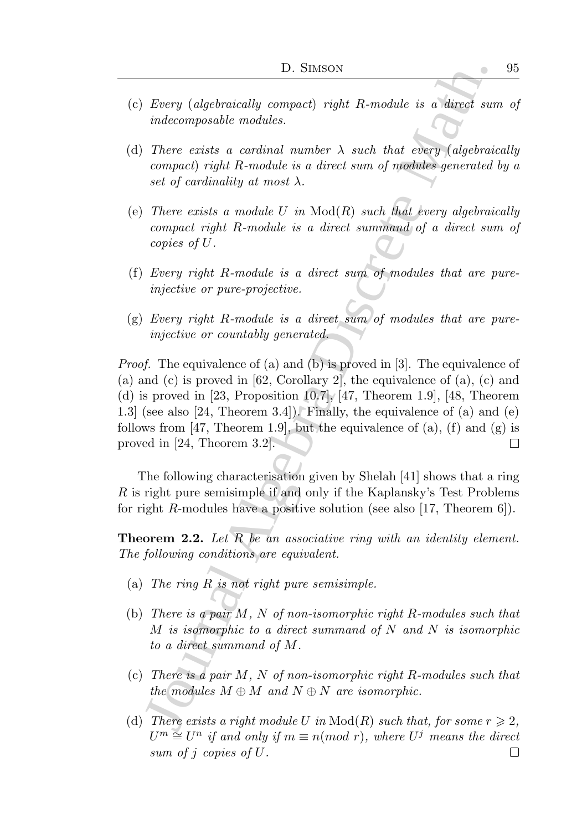- (c) Every (algebraically compact) right R-module is a direct sum of indecomposable modules.
- (d) There exists a cardinal number  $\lambda$  such that every (algebraically compact) right R-module is a direct sum of modules generated by a set of cardinality at most  $\lambda$ .
- (e) There exists a module U in  $Mod(R)$  such that every algebraically compact right R-module is a direct summand of a direct sum of copies of U.
- (f) Every right R-module is a direct sum of modules that are pureinjective or pure-projective.
- (g) Every right R-module is a direct sum of modules that are pureinjective or countably generated.

15. SIMSON<br>
Devery (algebraically compact) right R-module is a direct sure indecomposable modules.<br>
There exists a cardinal number  $\lambda$  such that every (algebraic<br>
compact) right R-module is a direct sum of modules equent Proof. The equivalence of (a) and (b) is proved in [3]. The equivalence of (a) and (c) is proved in  $[62, Corollary 2]$ , the equivalence of  $(a)$ ,  $(c)$  and (d) is proved in [23, Proposition 10.7], [47, Theorem 1.9], [48, Theorem 1.3] (see also [24, Theorem 3.4]). Finally, the equivalence of (a) and (e) follows from [47, Theorem 1.9], but the equivalence of (a), (f) and (g) is proved in [24, Theorem 3.2].  $\Box$ 

The following characterisation given by Shelah [41] shows that a ring R is right pure semisimple if and only if the Kaplansky's Test Problems for right R-modules have a positive solution (see also [17, Theorem 6]).

**Theorem 2.2.** Let R be an associative ring with an identity element. The following conditions are equivalent.

- (a) The ring R is not right pure semisimple.
- (b) There is a pair  $M$ ,  $N$  of non-isomorphic right R-modules such that M is isomorphic to a direct summand of N and N is isomorphic to a direct summand of M.
- (c) There is a pair  $M$ ,  $N$  of non-isomorphic right R-modules such that the modules  $M \oplus M$  and  $N \oplus N$  are isomorphic.
- (d) There exists a right module U in  $Mod(R)$  such that, for some  $r \geq 2$ .  $U^m \cong U^n$  if and only if  $m \equiv n (mod\; r)$ , where  $U^j$  means the direct sum of j copies of U. $\Box$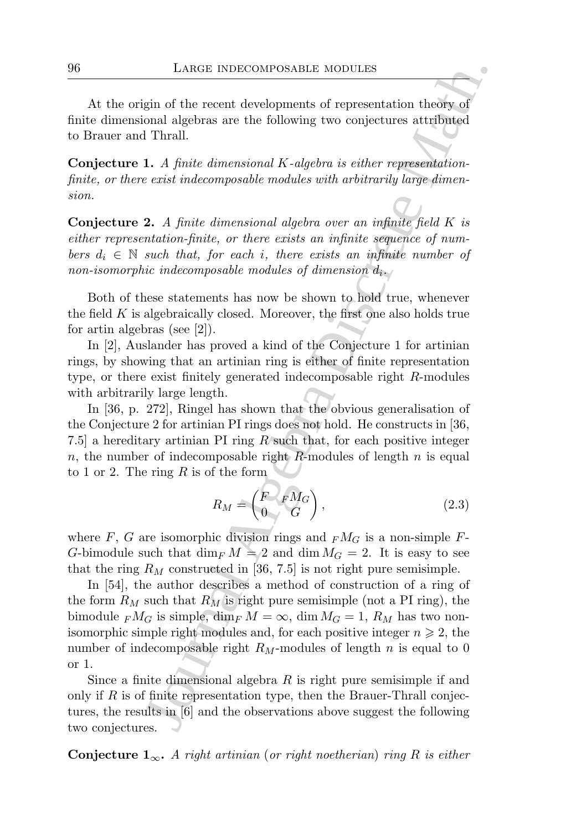At the origin of the recent developments of representation theory of finite dimensional algebras are the following two conjectures attributed to Brauer and Thrall.

Conjecture 1. A finite dimensional K-algebra is either representationfinite, or there exist indecomposable modules with arbitrarily large dimension.

**Conjecture 2.** A finite dimensional algebra over an infinite field  $K$  is either representation-finite, or there exists an infinite sequence of numbers  $d_i \in \mathbb{N}$  such that, for each i, there exists an infinite number of non-isomorphic indecomposable modules of dimension  $d_i$ .

Both of these statements has now be shown to hold true, whenever the field  $K$  is algebraically closed. Moreover, the first one also holds true for artin algebras (see [2]).

In [2], Auslander has proved a kind of the Conjecture 1 for artinian rings, by showing that an artinian ring is either of finite representation type, or there exist finitely generated indecomposable right R-modules with arbitrarily large length.

In [36, p. 272], Ringel has shown that the obvious generalisation of the Conjecture 2 for artinian PI rings does not hold. He constructs in [36, 7.5] a hereditary artinian PI ring R such that, for each positive integer n, the number of indecomposable right R-modules of length  $n$  is equal to 1 or 2. The ring  $R$  is of the form

$$
R_M = \begin{pmatrix} F & F M_G \\ 0 & G \end{pmatrix}, \tag{2.3}
$$

where F, G are isomorphic division rings and  $<sub>F</sub>M<sub>G</sub>$  is a non-simple F-</sub> G-bimodule such that  $\dim_F M = 2$  and  $\dim M_G = 2$ . It is easy to see that the ring  $R_M$  constructed in [36, 7.5] is not right pure semisimple.

LARGE INDECOMPOSABLE MODULES<br>
gin of the recent developments of representation theory of<br>
onal algebra are the following two conjectures attributed<br>
1 Thrall<br>
1 Thrall<br>
1 A finite dimensional K-algebra is either represent In [54], the author describes a method of construction of a ring of the form  $R_M$  such that  $R_M$  is right pure semisimple (not a PI ring), the bimodule  $\epsilon_{F} M_G$  is simple, dim $\epsilon_{F} M = \infty$ , dim  $M_G = 1$ ,  $R_M$  has two nonisomorphic simple right modules and, for each positive integer  $n \geq 2$ , the number of indecomposable right  $R_M$ -modules of length n is equal to 0 or 1.

Since a finite dimensional algebra  $R$  is right pure semisimple if and only if  $R$  is of finite representation type, then the Brauer-Thrall conjectures, the results in [6] and the observations above suggest the following two conjectures.

**Conjecture**  $1_{\infty}$ . A right artinian (or right noetherian) ring R is either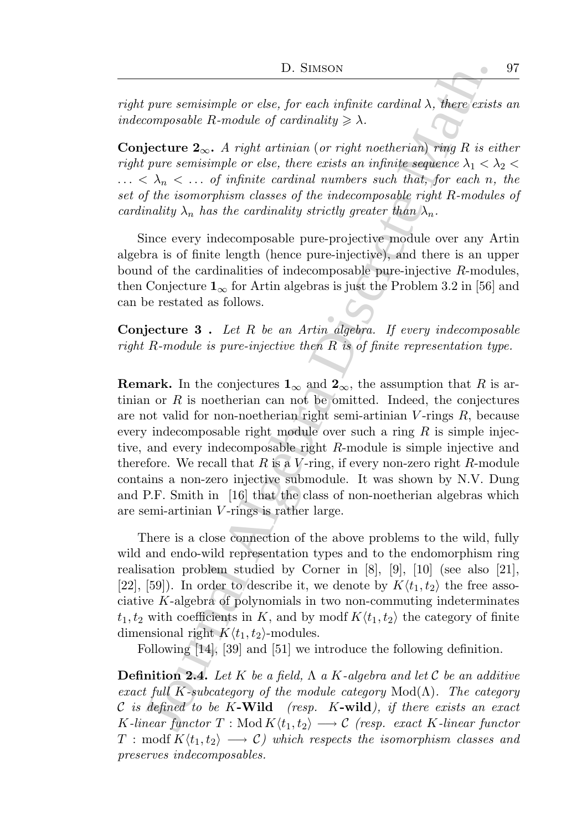right pure semisimple or else, for each infinite cardinal  $\lambda$ , there exists an indecomposable R-module of cardinality  $\geq \lambda$ .

**Conjecture 2**<sub>∞</sub>. A right artinian (or right noetherian) ring R is either right pure semisimple or else, there exists an infinite sequence  $\lambda_1 < \lambda_2 <$  $\ldots < \lambda_n < \ldots$  of infinite cardinal numbers such that, for each n, the set of the isomorphism classes of the indecomposable right R-modules of cardinality  $\lambda_n$  has the cardinality strictly greater than  $\lambda_n$ .

Since every indecomposable pure-projective module over any Artin algebra is of finite length (hence pure-injective), and there is an upper bound of the cardinalities of indecomposable pure-injective R-modules, then Conjecture  $1_{\infty}$  for Artin algebras is just the Problem 3.2 in [56] and can be restated as follows.

**Conjecture 3**. Let  $R$  be an Artin algebra. If every indecomposable right R-module is pure-injective then R is of finite representation type.

D. SIMSON<br>
D. SIMSON<br>
There existently are detected in the controller of the controller and  $\lambda$ , there exist<br>
composable R-module of contribution (or right noetherican) rang R is eduction<br>  $\lambda$ ,  $\lambda$ ,  $\kappa$ ,  $\lambda$ ,  $\lambda$ , **Remark.** In the conjectures  $\mathbf{1}_{\infty}$  and  $\mathbf{2}_{\infty}$ , the assumption that R is artinian or  $R$  is noetherian can not be omitted. Indeed, the conjectures are not valid for non-noetherian right semi-artinian  $V$ -rings  $R$ , because every indecomposable right module over such a ring  $R$  is simple injective, and every indecomposable right R-module is simple injective and therefore. We recall that R is a V-ring, if every non-zero right R-module contains a non-zero injective submodule. It was shown by N.V. Dung and P.F. Smith in [16] that the class of non-noetherian algebras which are semi-artinian V -rings is rather large.

There is a close connection of the above problems to the wild, fully wild and endo-wild representation types and to the endomorphism ring realisation problem studied by Corner in [8], [9], [10] (see also [21], [22], [59]). In order to describe it, we denote by  $K\langle t_1, t_2 \rangle$  the free associative K-algebra of polynomials in two non-commuting indeterminates  $t_1, t_2$  with coefficients in K, and by modf  $K\langle t_1, t_2 \rangle$  the category of finite dimensional right  $K\langle t_1, t_2\rangle$ -modules.

Following [14], [39] and [51] we introduce the following definition.

**Definition 2.4.** Let K be a field,  $\Lambda$  a K-algebra and let C be an additive exact full K-subcategory of the module category  $Mod(Λ)$ . The category C is defined to be K-Wild (resp. K-wild), if there exists an exact K-linear functor  $T : Mod K\langle t_1, t_2 \rangle \longrightarrow \mathcal{C}$  (resp. exact K-linear functor  $T: \text{modf } K\langle t_1, t_2 \rangle \longrightarrow \mathcal{C}$  which respects the isomorphism classes and preserves indecomposables.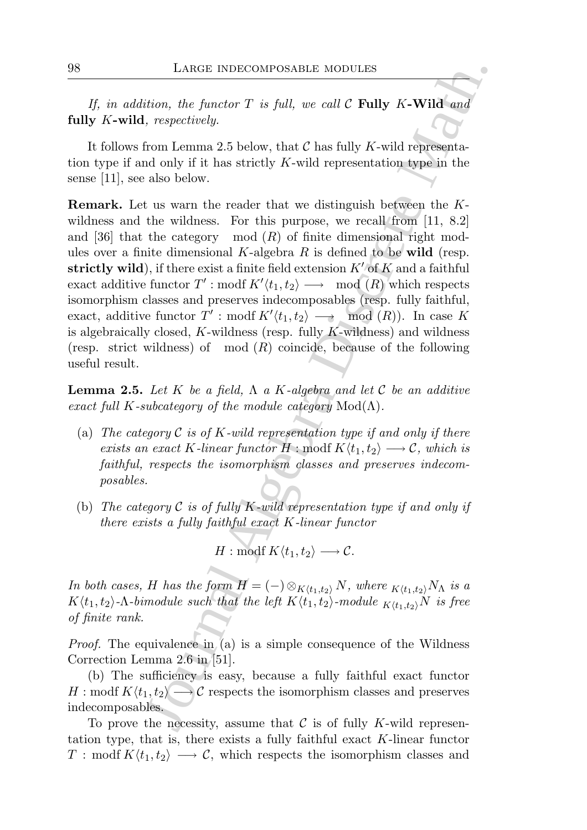If, in addition, the functor  $T$  is full, we call  $\mathcal C$  Fully K-Wild and fully K-wild, respectively.

It follows from Lemma 2.5 below, that  $\mathcal C$  has fully K-wild representation type if and only if it has strictly K-wild representation type in the sense [11], see also below.

LARGE INDECOMPOSABLE MODULES<br>
ition, the functor T is full, we call C Fully K-Wild and<br>
it, respectively.<br>
Then Lemma 2.5 below, that C has fully K-wild representa-<br>
from Lemma 2.5 below, that C has fully K-wild represent Remark. Let us warn the reader that we distinguish between the Kwildness and the wildness. For this purpose, we recall from [11, 8.2] and [36] that the category mod  $(R)$  of finite dimensional right modules over a finite dimensional  $K$ -algebra  $R$  is defined to be wild (resp. strictly wild), if there exist a finite field extension  $K'$  of  $K$  and a faithful  $\text{exact}$  additive functor  $T': \text{mod} f K' \langle t_1, t_2 \rangle \longrightarrow \text{mod} (R)$  which respects isomorphism classes and preserves indecomposables (resp. fully faithful, exact, additive functor  $T'$ : modf  $K'\langle t_1, t_2 \rangle \longrightarrow \mod(R)$ . In case K is algebraically closed,  $K$ -wildness (resp. fully  $K$ -wildness) and wildness (resp. strict wildness) of mod  $(R)$  coincide, because of the following useful result.

**Lemma 2.5.** Let K be a field,  $\Lambda$  a K-algebra and let C be an additive exact full K-subcategory of the module category  $Mod(\Lambda)$ .

- (a) The category  $\mathcal C$  is of K-wild representation type if and only if there exists an exact K-linear functor  $H : \text{modf } K \langle t_1, t_2 \rangle \longrightarrow \mathcal{C}$ , which is faithful, respects the isomorphism classes and preserves indecomposables.
- (b) The category  $\mathcal C$  is of fully K-wild representation type if and only if there exists a fully faithful exact K-linear functor

$$
H: \text{modf } K \langle t_1, t_2 \rangle \longrightarrow \mathcal{C}.
$$

In both cases, H has the form  $H = (-) \otimes_{K(t_1,t_2)} N$ , where  $_{K(t_1,t_2)} N_\Lambda$  is a  $K\langle t_1, t_2\rangle$ - $\Lambda$ -bimodule such that the left  $K\langle t_1, t_2\rangle$ -module  $K\langle t_1, t_2\rangle$  is free of finite rank.

*Proof.* The equivalence in (a) is a simple consequence of the Wildness Correction Lemma 2.6 in [51].

(b) The sufficiency is easy, because a fully faithful exact functor  $H: \text{mod} f K\langle t_1, t_2 \rangle \longrightarrow \mathcal{C}$  respects the isomorphism classes and preserves indecomposables.

To prove the necessity, assume that  $\mathcal C$  is of fully K-wild representation type, that is, there exists a fully faithful exact  $K$ -linear functor  $T: \text{modf } K\langle t_1, t_2 \rangle \longrightarrow \mathcal{C}$ , which respects the isomorphism classes and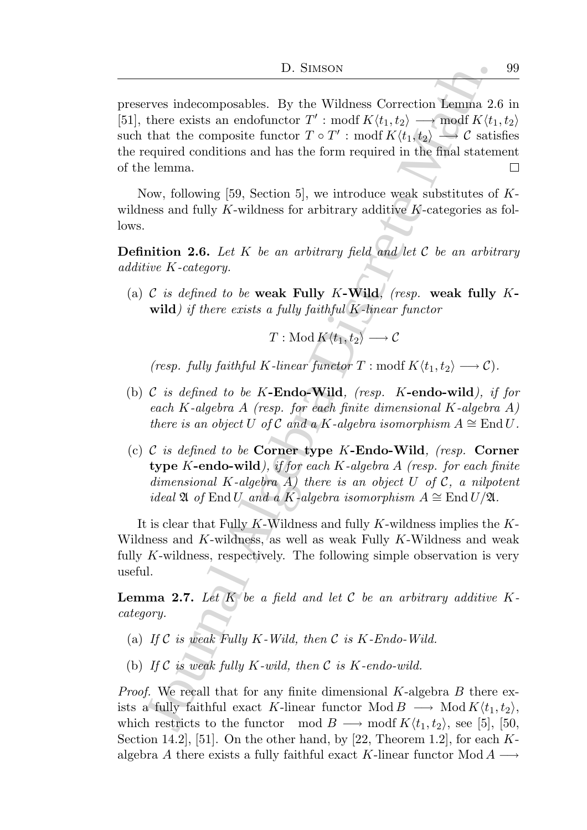D. SIMSON<br>
D. SIMSON<br>
There exists an endofunctor  $T^T$ : modif  $K(t_1, t_2)$   $\longrightarrow$  comoff  $K(t_1, t_2)$ <br>
that the composite functor  $T \circ T'$ : modif  $K(t_1, t_2) \longrightarrow C$  satic<br>
required conditions and has the form required in the fina preserves indecomposables. By the Wildness Correction Lemma 2.6 in [51], there exists an endofunctor  $T'$ : modf  $K\langle t_1, t_2 \rangle \longrightarrow \text{modf } K\langle t_1, t_2 \rangle$ such that the composite functor  $T \circ T'$ : modf  $K\langle t_1, t_2 \rangle \longrightarrow C$  satisfies the required conditions and has the form required in the final statement of the lemma.  $\Box$ 

Now, following [59, Section 5], we introduce weak substitutes of  $K$ wildness and fully K-wildness for arbitrary additive  $K$ -categories as follows.

**Definition 2.6.** Let K be an arbitrary field and let C be an arbitrary additive K-category.

(a) C is defined to be weak Fully K-Wild, (resp. weak fully  $K$ wild) if there exists a fully faithful K-linear functor

$$
T: \operatorname{Mod}\nolimits K \langle t_1, t_2 \rangle \longrightarrow \mathcal{C}
$$

(resp. fully faithful K-linear functor  $T : \text{modf } K \langle t_1, t_2 \rangle \longrightarrow \mathcal{C}$ ).

- (b) C is defined to be  $K$ -Endo-Wild, (resp. K-endo-wild), if for each K-algebra A (resp. for each finite dimensional K-algebra A) there is an object U of C and a K-algebra isomorphism  $A \cong$  End U.
- (c) C is defined to be Corner type K-Endo-Wild, (resp. Corner type K-endo-wild), if for each K-algebra  $A$  (resp. for each finite dimensional K-algebra  $A$ ) there is an object U of  $C$ , a nilpotent ideal  $\mathfrak A$  of End U and a K-algebra isomorphism  $A \cong$  End U/ $\mathfrak A$ .

It is clear that Fully K-Wildness and fully K-wildness implies the  $K$ -Wildness and K-wildness, as well as weak Fully K-Wildness and weak fully K-wildness, respectively. The following simple observation is very useful.

**Lemma 2.7.** Let  $K$  be a field and let  $C$  be an arbitrary additive  $K$ category.

- (a) If  $\mathcal C$  is weak Fully K-Wild, then  $\mathcal C$  is K-Endo-Wild.
- (b) If  $\mathcal C$  is weak fully K-wild, then  $\mathcal C$  is K-endo-wild.

*Proof.* We recall that for any finite dimensional  $K$ -algebra  $B$  there exists a fully faithful exact K-linear functor Mod  $B \longrightarrow \text{Mod } K\langle t_1, t_2 \rangle$ , which restricts to the functor mod  $B \longrightarrow \text{mod } K \langle t_1, t_2 \rangle$ , see [5], [50, Section 14.2, [51]. On the other hand, by [22, Theorem 1.2], for each  $K$ algebra A there exists a fully faithful exact K-linear functor Mod  $A \longrightarrow$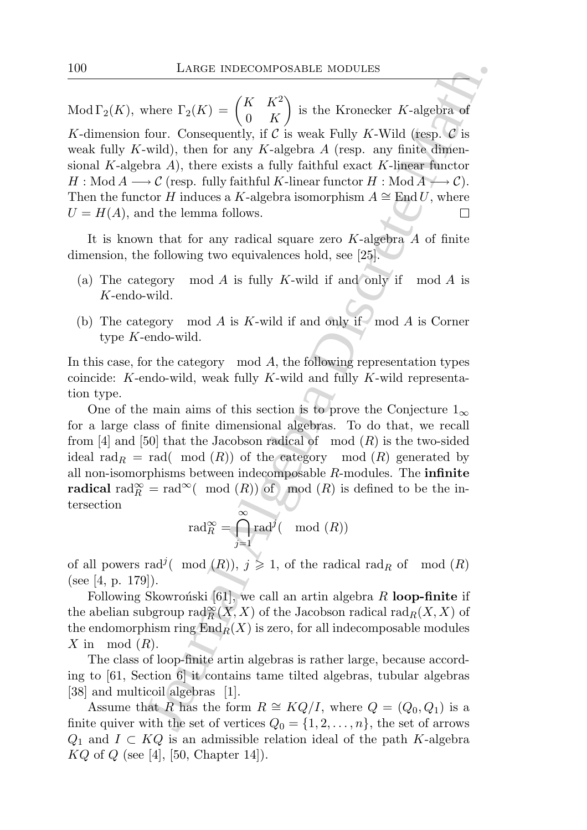LARGE INDECOMPOSABLE MODULES<br>
where  $\Gamma_2(K) = \begin{pmatrix} K & K^2 \\ 0 & K \end{pmatrix}$  is the Kronecker K-algebra of<br>
four. Consequently, if C is weak Fully K-Wild (tesp. C is<br>
wild), then for any K-algebra A (resp. any finite dimen-<br>
black Mod  $\Gamma_2(K)$ , where  $\Gamma_2(K) = \begin{pmatrix} K & K^2 \\ 0 & K \end{pmatrix}$ 0 K  $\setminus$ is the Kronecker K-algebra of K-dimension four. Consequently, if C is weak Fully K-Wild (resp.  $\mathcal C$  is weak fully K-wild), then for any K-algebra  $A$  (resp. any finite dimensional K-algebra  $A$ ), there exists a fully faithful exact K-linear functor  $H: Mod A \longrightarrow \mathcal{C}$  (resp. fully faithful K-linear functor  $H: Mod A \longrightarrow \mathcal{C}$ ). Then the functor H induces a K-algebra isomorphism  $A \cong \text{End } U$ , where  $U = H(A)$ , and the lemma follows.

It is known that for any radical square zero  $K$ -algebra  $A$  of finite dimension, the following two equivalences hold, see [25].

- (a) The category mod  $A$  is fully  $K$ -wild if and only if mod  $A$  is K-endo-wild.
- (b) The category mod  $A$  is  $K$ -wild if and only if  $\mod A$  is Corner type K-endo-wild.

In this case, for the category mod  $A$ , the following representation types coincide: K-endo-wild, weak fully K-wild and fully K-wild representation type.

One of the main aims of this section is to prove the Conjecture  $1_{\infty}$ for a large class of finite dimensional algebras. To do that, we recall from [4] and [50] that the Jacobson radical of mod  $(R)$  is the two-sided ideal rad $R = rad(mod(R))$  of the category mod  $(R)$  generated by all non-isomorphisms between indecomposable  $R$ -modules. The infinite radical rad $_{R}^{\infty}$  = rad<sup>∞</sup>( mod (R)) of mod (R) is defined to be the intersection

$$
\operatorname{rad}_R^{\infty} = \bigcap_{j=1}^{\infty} \operatorname{rad}^j(\mod(R))
$$

of all powers rad<sup>j</sup>( mod  $(R)$ ),  $j \geq 1$ , of the radical rad<sub>R</sub> of mod  $(R)$ (see [4, p. 179]).

Following Skowroński [61], we call an artin algebra  $R$  loop-finite if the abelian subgroup  $\text{rad}_{R}^{\infty}(X,X)$  of the Jacobson radical  $\text{rad}_{R}(X,X)$  of the endomorphism ring  $\text{End}_R(X)$  is zero, for all indecomposable modules X in mod  $(R)$ .

The class of loop-finite artin algebras is rather large, because according to [61, Section 6] it contains tame tilted algebras, tubular algebras [38] and multicoil algebras [1].

Assume that R has the form  $R \cong KQ/I$ , where  $Q = (Q_0, Q_1)$  is a finite quiver with the set of vertices  $Q_0 = \{1, 2, ..., n\}$ , the set of arrows  $Q_1$  and  $I \subset KQ$  is an admissible relation ideal of the path K-algebra  $KQ$  of  $Q$  (see [4], [50, Chapter 14]).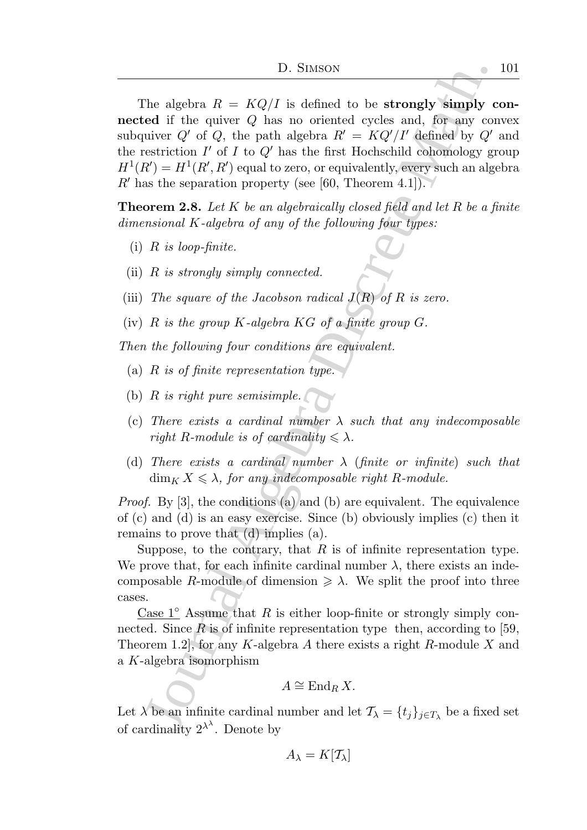10. Stusson<br>
The algebra  $R = KQ/I$  is defined to be strongly simply orded if the quiver  $Q'$  has no oriented cycles and, for any conduct of  $V = H'(H, H')$  equivently, exergence and  $\mathbf{y} \in H' = KQ'/H'$  defined by  $Q'$  estriction The algebra  $R = KQ/I$  is defined to be **strongly simply con**nected if the quiver Q has no oriented cycles and, for any convex subquiver Q' of Q, the path algebra  $R' = KQ'/I'$  defined by Q' and the restriction  $I'$  of  $I$  to  $Q'$  has the first Hochschild cohomology group  $H^1(R') = H^1(R', R')$  equal to zero, or equivalently, every such an algebra  $R'$  has the separation property (see [60, Theorem 4.1]).

**Theorem 2.8.** Let K be an algebraically closed field and let R be a finite dimensional K-algebra of any of the following four types:

- $(i)$  R is loop-finite.
- (ii)  $R$  is strongly simply connected.
- (iii) The square of the Jacobson radical  $J(R)$  of R is zero.
- (iv)  $R$  is the group  $K$ -algebra  $KG$  of a finite group  $G$ .

Then the following four conditions are equivalent.

- (a)  $R$  is of finite representation type.
- (b)  $R$  is right pure semisimple.
- (c) There exists a cardinal number  $\lambda$  such that any indecomposable right R-module is of cardinality  $\leq \lambda$ .
- (d) There exists a cardinal number  $\lambda$  (finite or infinite) such that  $\dim_K X \leq \lambda$ , for any indecomposable right R-module.

Proof. By [3], the conditions (a) and (b) are equivalent. The equivalence of (c) and (d) is an easy exercise. Since (b) obviously implies (c) then it remains to prove that (d) implies (a).

Suppose, to the contrary, that  $R$  is of infinite representation type. We prove that, for each infinite cardinal number  $\lambda$ , there exists an indecomposable R-module of dimension  $\geq \lambda$ . We split the proof into three cases.

Case  $1°$  Assume that R is either loop-finite or strongly simply connected. Since  $\tilde{R}$  is of infinite representation type then, according to [59, Theorem 1.2, for any K-algebra A there exists a right R-module X and a K-algebra isomorphism

$$
A \cong \operatorname{End}_R X.
$$

Let  $\lambda$  be an infinite cardinal number and let  $\mathcal{T}_{\lambda} = \{t_j\}_{j \in \mathcal{T}_{\lambda}}$  be a fixed set of cardinality  $2^{\lambda^{\lambda}}$ . Denote by

$$
A_\lambda=K[\mathcal{T}_\lambda]
$$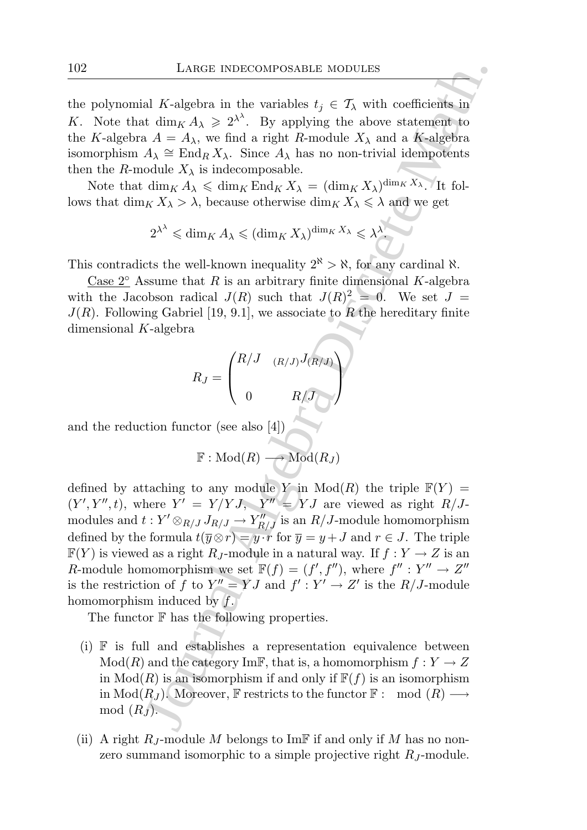the polynomial K-algebra in the variables  $t_i \in \mathcal{T}_{\lambda}$  with coefficients in K. Note that  $\dim_K A_\lambda \geqslant 2^{\lambda^\lambda}$ . By applying the above statement to the K-algebra  $A = A_{\lambda}$ , we find a right R-module  $X_{\lambda}$  and a K-algebra isomorphism  $A_{\lambda} \cong \text{End}_{R} X_{\lambda}$ . Since  $A_{\lambda}$  has no non-trivial idempotents then the R-module  $X_{\lambda}$  is indecomposable.

Note that  $\dim_K A_\lambda \leqslant \dim_K \text{End}_K X_\lambda = (\dim_K X_\lambda)^{\dim_K X_\lambda}$ . It follows that  $\dim_K X_\lambda > \lambda$ , because otherwise  $\dim_K X_\lambda \leq \lambda$  and we get

$$
2^{\lambda^{\lambda}} \leq \dim_K A_{\lambda} \leq (\dim_K X_{\lambda})^{\dim_K X_{\lambda}} \leq \lambda^{\lambda}.
$$

This contradicts the well-known inequality  $2^k > \aleph$ , for any cardinal  $\aleph$ .

Case  $2^\circ$  Assume that R is an arbitrary finite dimensional K-algebra with the Jacobson radical  $J(R)$  such that  $J(R)^2 = 0$ . We set  $J =$  $J(R)$ . Following Gabriel [19, 9.1], we associate to R the hereditary finite dimensional K-algebra

$$
R_J = \begin{pmatrix} R/J & (R/J)J_{(R/J)} \\ 0 & R/J \end{pmatrix}
$$

and the reduction functor (see also  $[4] )$ 

$$
\mathbb{F}: \mathrm{Mod}(R) \longrightarrow \mathrm{Mod}(R_J)
$$

LARGE INDECOMPOSABLE MODULES<br>
al K-algebra in the variables  $t_j \in T_\lambda$  with coefficients in<br>
at  $A = A_0$ , we find a right  $R$ -module  $X_\lambda$  and a K-algebra<br>  $A = A_1$ , we find a right  $R$ -module  $X_\lambda$  and a K-algebra<br>
dule  $X_\$ defined by attaching to any module Y in  $Mod(R)$  the triple  $\mathbb{F}(Y) =$  $(Y', Y'', t)$ , where  $Y' = Y/YJ$ ,  $Y'' = YJ$  are viewed as right  $R/J$ modules and  $t: Y' \otimes_{R/J} J_{R/J} \to Y''_{R/J}$  is an  $R/J$ -module homomorphism defined by the formula  $t(\overline{y}\otimes r) = y\cdot r$  for  $\overline{y} = y + J$  and  $r \in J$ . The triple  $\mathbb{F}(Y)$  is viewed as a right  $R_J$ -module in a natural way. If  $f: Y \to Z$  is an R-module homomorphism we set  $\mathbb{F}(f) = (f', f'')$ , where  $f'' : Y'' \to Z''$ is the restriction of f to  $Y'' = YJ$  and  $f' : Y' \to Z'$  is the  $R/J$ -module homomorphism induced by  $f$ .

The functor  $\mathbb F$  has the following properties.

- (i) F is full and establishes a representation equivalence between  $Mod(R)$  and the category ImF, that is, a homomorphism  $f: Y \to Z$ in  $\text{Mod}(R)$  is an isomorphism if and only if  $\mathbb{F}(f)$  is an isomorphism in  $\text{Mod}(R_J)$ . Moreover, F restricts to the functor F : mod  $(R) \longrightarrow$  $mod(R_J)$ .
- (ii) A right  $R_J$ -module M belongs to ImF if and only if M has no nonzero summand isomorphic to a simple projective right  $R_J$ -module.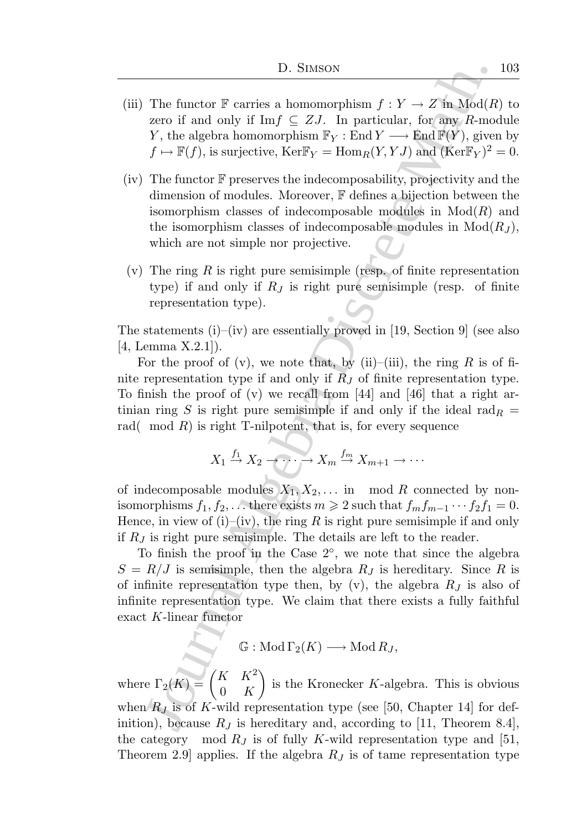- (iii) The functor  $\mathbb F$  carries a homomorphism  $f: Y \to Z$  in  $Mod(R)$  to zero if and only if Imf  $\subseteq ZJ$ . In particular, for any R-module Y, the algebra homomorphism  $\mathbb{F}_Y$ : End  $Y \longrightarrow \text{End } \mathbb{F}(Y)$ , given by  $f \mapsto \mathbb{F}(f)$ , is surjective,  $\text{Ker} \mathbb{F}_Y = \text{Hom}_R(Y, YJ)$  and  $(\text{Ker} \mathbb{F}_Y)^2 = 0$ .
- D. Stutson<br>
The functor F carries a homomorphism  $f: Y \to Z$  in Mod(R<br>
zero if and only if Im  $f \in Z, Z$ . In particular, for any<br>  $f: \mathbb{N} \to \mathbb{R}(f)$ , the algebra homomorphism  $\mathbb{F}_Y$ : End  $Y \to \text{End}(Y \setminus Y)$ , gives<br>  $f \mapsto \mathbb{$ (iv) The functor  $\mathbb F$  preserves the indecomposability, projectivity and the dimension of modules. Moreover, F defines a bijection between the isomorphism classes of indecomposable modules in  $Mod(R)$  and the isomorphism classes of indecomposable modules in  $Mod(R_J)$ , which are not simple nor projective.
- (v) The ring R is right pure semisimple (resp. of finite representation type) if and only if  $R_J$  is right pure semisimple (resp. of finite representation type).

The statements  $(i)$ – $(iv)$  are essentially proved in [19, Section 9] (see also [4, Lemma X.2.1]).

For the proof of (v), we note that, by (ii)–(iii), the ring R is of finite representation type if and only if  $\overline{R}_I$  of finite representation type. To finish the proof of (v) we recall from [44] and [46] that a right artinian ring S is right pure semisimple if and only if the ideal rad $_R =$ rad( mod  $R$ ) is right T-nilpotent, that is, for every sequence

$$
X_1 \xrightarrow{f_1} X_2 \xrightarrow{\cdot} \cdots \xrightarrow{\cdot} X_m \xrightarrow{f_m} X_{m+1} \xrightarrow{\cdot} \cdots
$$

of indecomposable modules  $X_1, X_2, \ldots$  in mod R connected by nonisomorphisms  $f_1, f_2, \ldots$  there exists  $m \geq 2$  such that  $f_m f_{m-1} \cdots f_2 f_1 = 0$ . Hence, in view of (i)–(iv), the ring R is right pure semisimple if and only if  $R_J$  is right pure semisimple. The details are left to the reader.

To finish the proof in the Case 2◦ , we note that since the algebra  $S = R/J$  is semisimple, then the algebra  $R_J$  is hereditary. Since R is of infinite representation type then, by  $(v)$ , the algebra  $R_J$  is also of infinite representation type. We claim that there exists a fully faithful exact K-linear functor

 $\mathbb{G}: Mod \Gamma_2(K) \longrightarrow Mod R_J,$ 

where  $\Gamma_2(K) = \begin{pmatrix} K & K^2 \\ 0 & K \end{pmatrix}$  $0\quad K$  $\overline{ }$ is the Kronecker K-algebra. This is obvious when  $R_J$  is of K-wild representation type (see [50, Chapter 14] for definition), because  $R_J$  is hereditary and, according to [11, Theorem 8.4], the category mod  $R_J$  is of fully K-wild representation type and [51, Theorem 2.9 applies. If the algebra  $R_J$  is of tame representation type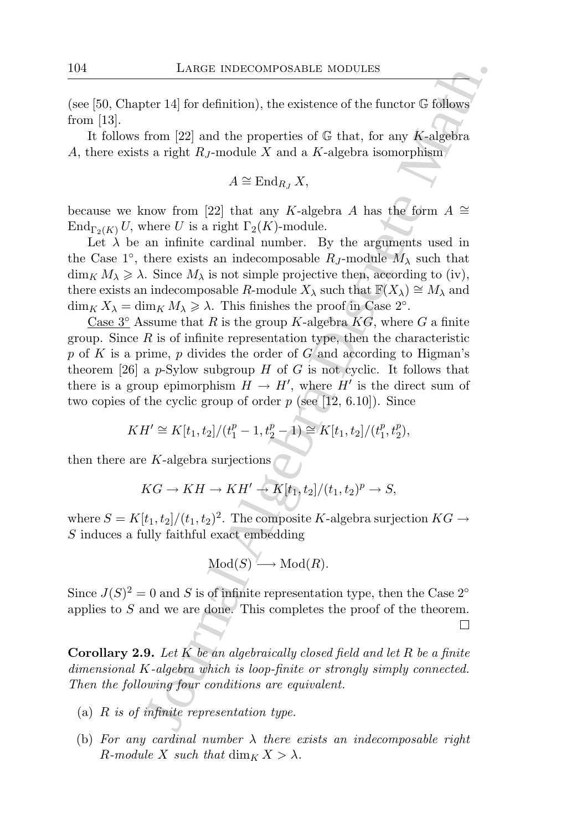(see [50, Chapter 14] for definition), the existence of the functor  $\mathbb G$  follows from [13].

It follows from [22] and the properties of  $\mathbb G$  that, for any K-algebra A, there exists a right  $R_J$ -module X and a K-algebra isomorphism

$$
A \cong \operatorname{End}_{R_J} X,
$$

because we know from [22] that any K-algebra A has the form  $A \cong$  $\text{End}_{\Gamma_2(K)} U$ , where U is a right  $\Gamma_2(K)$ -module.

Let  $\lambda$  be an infinite cardinal number. By the arguments used in the Case 1<sup>°</sup>, there exists an indecomposable  $R_J$ -module  $M_\lambda$  such that  $\dim_K M_\lambda \geq \lambda$ . Since  $M_\lambda$  is not simple projective then, according to (iv), there exists an indecomposable R-module  $X_\lambda$  such that  $\mathbb{F}(X_\lambda) \cong M_\lambda$  and  $\dim_K X_\lambda = \dim_K M_\lambda \geq \lambda$ . This finishes the proof in Case 2°.

LARGE INDECOMPOSABLE MODULES<br>
ter 14] for definition), the existence of the functor G follows<br>
from [22] and the properties of G that, for any K-algebra<br>
s a right  $R_I$ -module X and a K-algebra isomorphism<br>  $A \cong \text{End}_{R_I} X$ Case  $3^{\circ}$  Assume that R is the group K-algebra  $KG$ , where G a finite group. Since  $R$  is of infinite representation type, then the characteristic p of K is a prime, p divides the order of G and according to Higman's theorem [26] a p-Sylow subgroup H of G is not cyclic. It follows that there is a group epimorphism  $H \to H'$ , where  $H'$  is the direct sum of two copies of the cyclic group of order  $p$  (see [12, 6.10]). Since

$$
KH' \cong K[t_1, t_2]/(t_1^p - 1, t_2^p - 1) \cong K[t_1, t_2]/(t_1^p, t_2^p),
$$

then there are  $K$ -algebra surjections

$$
KG \to KH \to KH' \to K[t_1, t_2]/(t_1, t_2)^p \to S,
$$

where  $S = K[t_1, t_2]/(t_1, t_2)^2$ . The composite K-algebra surjection  $KG \rightarrow$ S induces a fully faithful exact embedding

$$
Mod(S) \longrightarrow Mod(R).
$$

Since  $J(S)^2 = 0$  and S is of infinite representation type, then the Case 2<sup>°</sup> applies to S and we are done. This completes the proof of the theorem.

**Corollary 2.9.** Let  $K$  be an algebraically closed field and let  $R$  be a finite dimensional K-algebra which is loop-finite or strongly simply connected. Then the following four conditions are equivalent.

- (a)  $R$  is of infinite representation type.
- (b) For any cardinal number  $\lambda$  there exists an indecomposable right R-module X such that  $\dim_K X > \lambda$ .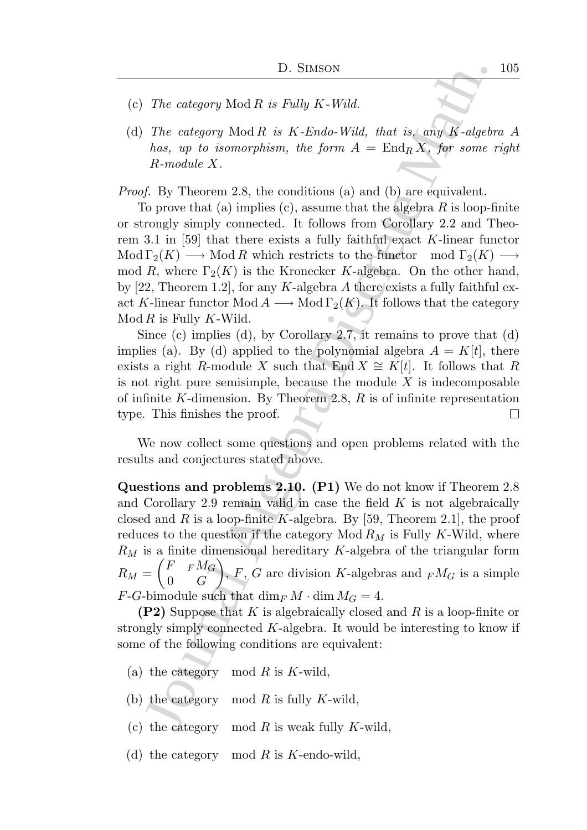- (c) The category  $Mod R$  is Fully  $K$ -Wild.
- (d) The category  $Mod R$  is  $K$ -Endo-Wild, that is, any  $K$ -algebra  $A$ has, up to isomorphism, the form  $A = \text{End}_R X$ , for some right R-module X.

Proof. By Theorem 2.8, the conditions (a) and (b) are equivalent.

D. Stusson<br>
The category Mod R is Fully K-Wid.<br>
The category Mod R is K-Endo-Widd, that is, any K-algebra<br>
has, up to isomorphism, the form  $A = \text{End}_R X$ , for some r<br>
R-module X.<br>
H. Dy Theorem 2.8, the conditions (a) and ( To prove that (a) implies (c), assume that the algebra  $R$  is loop-finite or strongly simply connected. It follows from Corollary 2.2 and Theorem 3.1 in [59] that there exists a fully faithful exact K-linear functor  $\text{Mod }\Gamma_2(K) \longrightarrow \text{Mod } R$  which restricts to the functor mod  $\Gamma_2(K) \longrightarrow$ mod R, where  $\Gamma_2(K)$  is the Kronecker K-algebra. On the other hand, by [22, Theorem 1.2], for any K-algebra A there exists a fully faithful exact K-linear functor Mod  $A \longrightarrow$  Mod  $\Gamma_2(K)$ . It follows that the category  $Mod R$  is Fully K-Wild.

Since (c) implies (d), by Corollary 2.7, it remains to prove that (d) implies (a). By (d) applied to the polynomial algebra  $A = K[t]$ , there exists a right R-module X such that End  $X \cong K[t]$ . It follows that R is not right pure semisimple, because the module  $X$  is indecomposable of infinite K-dimension. By Theorem 2.8,  $R$  is of infinite representation type. This finishes the proof. 囗

We now collect some questions and open problems related with the results and conjectures stated above.

Questions and problems 2.10. (P1) We do not know if Theorem 2.8 and Corollary 2.9 remain valid in case the field  $K$  is not algebraically closed and R is a loop-finite K-algebra. By [59, Theorem 2.1], the proof reduces to the question if the category  $Mod R_M$  is Fully K-Wild, where  $R_M$  is a finite dimensional hereditary K-algebra of the triangular form  $R_M =$  $\int F$   $F$ <sup> $M$ </sup><sup>G</sup>  $0 \quad G$  $\lambda$ ,  $F, G$  are division K-algebras and  $_F M_G$  is a simple  $F-G$ -bimodule such that  $\dim_F M \cdot \dim M_G = 4$ .

**(P2)** Suppose that K is algebraically closed and R is a loop-finite or strongly simply connected  $K$ -algebra. It would be interesting to know if some of the following conditions are equivalent:

- (a) the category mod R is K-wild,
- (b) the category mod  $R$  is fully  $K$ -wild,
- (c) the category mod R is weak fully K-wild,
- (d) the category mod R is K-endo-wild,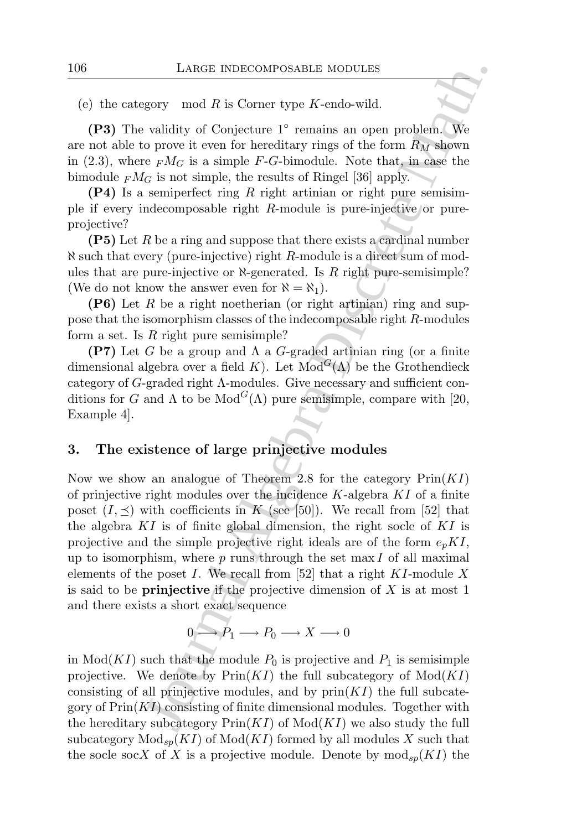### (e) the category mod R is Corner type  $K$ -endo-wild.

(P3) The validity of Conjecture 1° remains an open problem. We are not able to prove it even for hereditary rings of the form  $R_M$  shown in (2.3), where  $F M_G$  is a simple F-G-bimodule. Note that, in case the bimodule  $F M_G$  is not simple, the results of Ringel [36] apply.

 $(P4)$  Is a semiperfect ring R right artinian or right pure semisimple if every indecomposable right R-module is pure-injective or pureprojective?

 $(P5)$  Let R be a ring and suppose that there exists a cardinal number  $\aleph$  such that every (pure-injective) right R-module is a direct sum of modules that are pure-injective or  $\aleph$ -generated. Is R right pure-semisimple? (We do not know the answer even for  $\aleph = \aleph_1$ ).

(P6) Let R be a right noetherian (or right artinian) ring and suppose that the isomorphism classes of the indecomposable right R-modules form a set. Is  $R$  right pure semisimple?

(P7) Let G be a group and  $\Lambda$  a G-graded artinian ring (or a finite dimensional algebra over a field K). Let  $Mod<sup>G</sup>(\Lambda)$  be the Grothendieck category of  $G$ -graded right  $\Lambda$ -modules. Give necessary and sufficient conditions for G and  $\Lambda$  to be Mod<sup>G</sup>( $\Lambda$ ) pure semisimple, compare with [20, Example 4].

# 3. The existence of large prinjective modules

LARGE INDECOMPOSABLE MODULES<br>gory mod  $R$  is Corner type  $K$ -endo-wild.<br>validity of Conjecture 1° remains an open problem. We operate wore for even for hereditary rings of the form  $R_N$  shown<br> $c_F R_{G}$  is a simple, the res Now we show an analogue of Theorem 2.8 for the category  $Prin(KI)$ of prinjective right modules over the incidence  $K$ -algebra  $KI$  of a finite poset  $(I, \preceq)$  with coefficients in K (see [50]). We recall from [52] that the algebra  $KI$  is of finite global dimension, the right socle of  $KI$  is projective and the simple projective right ideals are of the form  $e_p K I$ , up to isomorphism, where  $p$  runs through the set max  $I$  of all maximal elements of the poset I. We recall from [52] that a right  $KI$ -module X is said to be **prinjective** if the projective dimension of  $X$  is at most 1 and there exists a short exact sequence

$$
0 \longrightarrow P_1 \longrightarrow P_0 \longrightarrow X \longrightarrow 0
$$

in  $Mod(KI)$  such that the module  $P_0$  is projective and  $P_1$  is semisimple projective. We denote by  $\text{Prin}(KI)$  the full subcategory of  $\text{Mod}(KI)$ consisting of all prinjective modules, and by  $\text{prin}(KI)$  the full subcategory of  $\text{Prin}(KI)$  consisting of finite dimensional modules. Together with the hereditary subcategory  $\text{Prin}(KI)$  of  $\text{Mod}(KI)$  we also study the full subcategory  $\text{Mod}_{\text{sp}}(KI)$  of  $\text{Mod}(KI)$  formed by all modules X such that the socle socX of X is a projective module. Denote by  $\text{mod}_{\text{sp}}(KI)$  the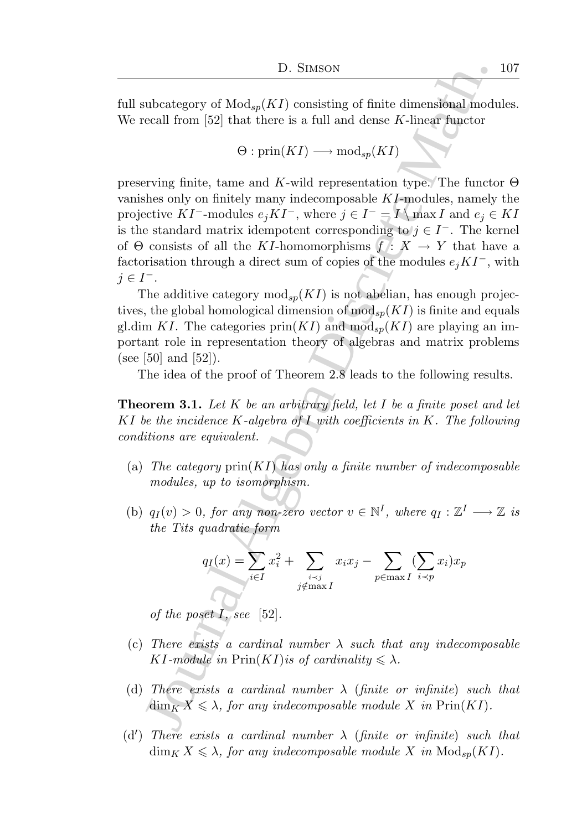full subcategory of  $\text{Mod}_{sp}(KI)$  consisting of finite dimensional modules. We recall from [52] that there is a full and dense K-linear functor

$$
\Theta: \text{prin}(KI) \longrightarrow \text{mod}_{sp}(KI)
$$

D. Stusson<br>
1D. Stusson<br>
unbeategory of  $\text{Mod}_\pi(KI)$  consisting of finite dimensional mode<br>
cecall from [52] that there is a full and dense K-linear functor<br>  $\Theta$ :  $\text{prin}(KI) \longrightarrow \text{mod}_{\text{sp}}(KI)$ <br>
erving finite, tame and K-wi preserving finite, tame and K-wild representation type. The functor  $\Theta$ vanishes only on finitely many indecomposable KI-modules, namely the projective KI<sup>-</sup>-modules  $e_j K I^-$ , where  $j \in I^- = I \setminus \max I$  and  $e_j \in K I$ is the standard matrix idempotent corresponding to  $j \in I^-$ . The kernel of  $\Theta$  consists of all the KI-homomorphisms  $\overline{f}$ :  $X \to Y$  that have a factorisation through a direct sum of copies of the modules  $e_iKT^$ , with  $j \in I^-.$ 

The additive category  $mod_{sp}(KI)$  is not abelian, has enough projectives, the global homological dimension of  $\text{mod}_{\text{sp}}(KI)$  is finite and equals gl.dim KI. The categories  $\text{prin}(KI)$  and  $\text{mod}_{\text{sp}}(KI)$  are playing an important role in representation theory of algebras and matrix problems (see [50] and [52]).

The idea of the proof of Theorem 2.8 leads to the following results.

**Theorem 3.1.** Let K be an arbitrary field, let I be a finite poset and let KI be the incidence K-algebra of I with coefficients in K. The following conditions are equivalent.

- (a) The category  $\text{prin}(KI)$  has only a finite number of indecomposable modules, up to isomorphism.
- (b)  $q_I(v) > 0$ , for any non-zero vector  $v \in \mathbb{N}^I$ , where  $q_I : \mathbb{Z}^I \longrightarrow \mathbb{Z}$  is the Tits quadratic form

$$
q_I(x) = \sum_{i \in I} x_i^2 + \sum_{\substack{i \prec j \\ j \notin \max I}} x_i x_j - \sum_{p \in \max I} (\sum_{i \prec p} x_i) x_p
$$

of the poset  $I$ , see [52].

- (c) There exists a cardinal number  $\lambda$  such that any indecomposable KI-module in  $\text{Prin}(KI)$  is of cardinality  $\leq \lambda$ .
- (d) There exists a cardinal number  $\lambda$  (finite or infinite) such that  $\dim_K X \leq \lambda$ , for any indecomposable module X in Prin $(KI)$ .
- (d') There exists a cardinal number  $\lambda$  (finite or infinite) such that  $\dim_K X \leq \lambda$ , for any indecomposable module X in  $\text{Mod}_{sp}(KI)$ .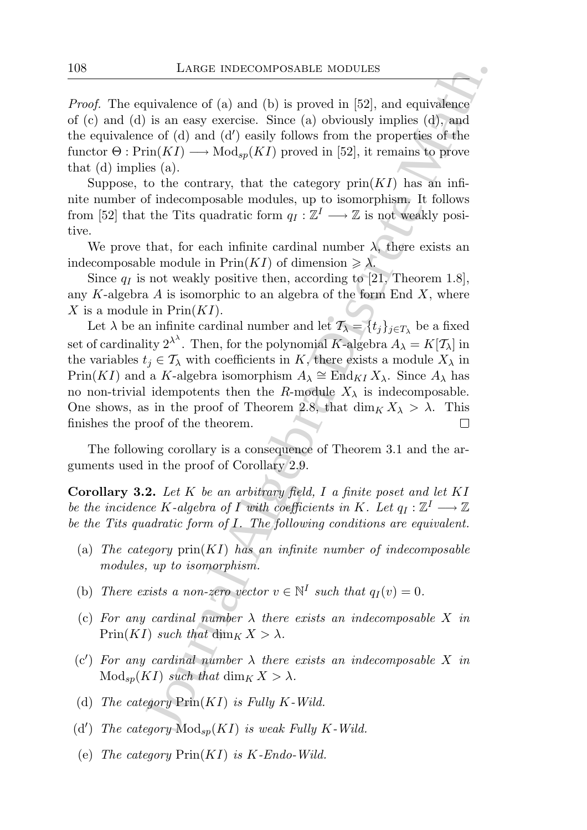Proof. The equivalence of (a) and (b) is proved in [52], and equivalence of (c) and (d) is an easy exercise. Since (a) obviously implies (d), and the equivalence of (d) and (d′ ) easily follows from the properties of the functor  $\Theta: \mathrm{Prin}(KI) \longrightarrow \mathrm{Mod}_{sp}(KI)$  proved in [52], it remains to prove that (d) implies (a).

Suppose, to the contrary, that the category  $\text{prin}(KI)$  has an infinite number of indecomposable modules, up to isomorphism. It follows from [52] that the Tits quadratic form  $q_I : \mathbb{Z}^I \longrightarrow \mathbb{Z}$  is not weakly positive.

We prove that, for each infinite cardinal number  $\lambda$ , there exists an indecomposable module in  $\text{Prin}(KI)$  of dimension  $\geq \lambda$ .

Since  $q_I$  is not weakly positive then, according to [21, Theorem 1.8], any K-algebra  $A$  is isomorphic to an algebra of the form End  $X$ , where X is a module in  $Prin(KI)$ .

LARGE INDECOMPOSABLE MODULES<br>
quivalence of (a) and (b) is proved in [52], and equivalence<br>
is a none secretes. Since (a) obviously implies (d), and<br>  $\psi$  is a none secrete. Since (a) obviously implies (d), and<br>
trin(KT) Let  $\lambda$  be an infinite cardinal number and let  $\mathcal{T}_{\lambda} = \{t_j\}_{j \in T_{\lambda}}$  be a fixed set of cardinality  $2^{\lambda^{\lambda}}$ . Then, for the polynomial K-algebra  $A_{\lambda} = K[\mathcal{T}_{\lambda}]$  in the variables  $t_i \in \mathcal{T}_{\lambda}$  with coefficients in K, there exists a module  $X_{\lambda}$  in Prin(KI) and a K-algebra isomorphism  $A_{\lambda} \cong \text{End}_{KI} X_{\lambda}$ . Since  $A_{\lambda}$  has no non-trivial idempotents then the R-module  $X_{\lambda}$  is indecomposable. One shows, as in the proof of Theorem 2.8, that  $\dim_K X_\lambda > \lambda$ . This finishes the proof of the theorem.

The following corollary is a consequence of Theorem 3.1 and the arguments used in the proof of Corollary 2.9.

**Corollary 3.2.** Let  $K$  be an arbitrary field, I a finite poset and let  $KI$ be the incidence K-algebra of I with coefficients in K. Let  $q_I : \mathbb{Z}^I \longrightarrow \mathbb{Z}$ be the Tits quadratic form of  $I$ . The following conditions are equivalent.

- (a) The category  $\text{prin}(KI)$  has an infinite number of indecomposable modules, up to isomorphism.
- (b) There exists a non-zero vector  $v \in \mathbb{N}^I$  such that  $q_I(v) = 0$ .
- (c) For any cardinal number  $\lambda$  there exists an indecomposable X in  $Prin(KI)$  such that  $\dim_K X > \lambda$ .
- (c') For any cardinal number  $\lambda$  there exists an indecomposable X in  $Mod_{sp}(KI)$  such that  $dim_K X > \lambda$ .
- (d) The category  $\text{Prin}(KI)$  is Fully K-Wild.
- (d') The category  $\text{Mod}_{sp}(KI)$  is weak Fully K-Wild.
- (e) The category  $\text{Prin}(KI)$  is K-Endo-Wild.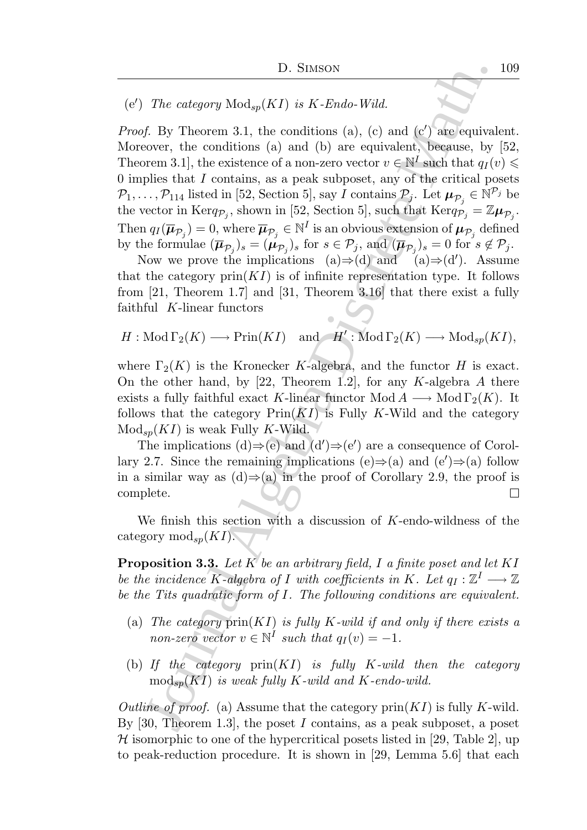# (e') The category  $\text{Mod}_{sp}(KI)$  is K-Endo-Wild.

11. Stuston<br>
12. Stuston<br>
The category Mod<sub>sp</sub> $(KI)$  is  $K$ -Endo-Wild.<br>
f). By Theorem 3.1, the conditions (a), (c) and (c) are equival<br>
orser, the conditions (a) and (b) are conjustent, because, by<br>
orser, the conditions *Proof.* By Theorem 3.1, the conditions  $(a)$ ,  $(c)$  and  $(c')$  are equivalent. Moreover, the conditions (a) and (b) are equivalent, because, by [52, Theorem 3.1], the existence of a non-zero vector  $v \in \mathbb{N}^I$  such that  $q_I(v) \leq$ 0 implies that  $I$  contains, as a peak subposet, any of the critical posets  $\mathcal{P}_1,\ldots,\mathcal{P}_{114}$  listed in [52, Section 5], say I contains  $\mathcal{P}_j$ . Let  $\boldsymbol{\mu}_{\mathcal{P}_j} \in \mathbb{N}^{\mathcal{P}_j}$  be the vector in Kerq<sub> $\mathcal{P}_j$ </sub>, shown in [52, Section 5], such that Kerq $\mathcal{P}_j = \mathbb{Z}\mu_{\mathcal{P}_j}$ . Then  $q_I(\overline{\mu}_{\mathcal{P}_j})=0$ , where  $\overline{\mu}_{\mathcal{P}_j} \in \mathbb{N}^I$  is an obvious extension of  $\mu_{\mathcal{P}_j}$  defined by the formulae  $(\overline{\boldsymbol{\mu}}_{\mathcal{P}_j})_s = (\boldsymbol{\mu}_{\mathcal{P}_j})_s$  for  $s \in \mathcal{P}_j$ , and  $(\overline{\boldsymbol{\mu}}_{\mathcal{P}_j})_s = 0$  for  $s \notin \mathcal{P}_j$ .

Now we prove the implications (a) $\Rightarrow$ (d) and (a) $\Rightarrow$ (d'). Assume that the category  $\text{prin}(KI)$  is of infinite representation type. It follows from [21, Theorem 1.7] and [31, Theorem 3.16] that there exist a fully faithful K-linear functors

$$
H: \text{Mod}\,\Gamma_2(K) \longrightarrow \text{Prin}(KI) \quad \text{and} \quad H': \text{Mod}\,\Gamma_2(K) \longrightarrow \text{Mod}_{sp}(KI),
$$

where  $\Gamma_2(K)$  is the Kronecker K-algebra, and the functor H is exact. On the other hand, by [22, Theorem 1.2], for any K-algebra A there exists a fully faithful exact K-linear functor Mod  $A \longrightarrow$  Mod  $\Gamma_2(K)$ . It follows that the category  $\text{Prin}(KI)$  is Fully K-Wild and the category  $Mod_{sp}(KI)$  is weak Fully K-Wild.

The implications  $(d) \Rightarrow (e)$  and  $(d') \Rightarrow (e')$  are a consequence of Corollary 2.7. Since the remaining implications  $(e) \Rightarrow (a)$  and  $(e') \Rightarrow (a)$  follow in a similar way as  $(d) \Rightarrow (a)$  in the proof of Corollary 2.9, the proof is complete. 囗

We finish this section with a discussion of  $K$ -endo-wildness of the category  $mod_{\text{sn}}(KI)$ .

**Proposition 3.3.** Let  $K$  be an arbitrary field, I a finite poset and let  $KI$ be the incidence K-algebra of I with coefficients in K. Let  $q_I : \mathbb{Z}^I \longrightarrow \mathbb{Z}$ be the Tits quadratic form of I. The following conditions are equivalent.

- (a) The category  $\text{prin}(KI)$  is fully K-wild if and only if there exists a non-zero vector  $v \in \mathbb{N}^I$  such that  $q_I(v) = -1$ .
- (b) If the category  $\text{prin}(KI)$  is fully K-wild then the category  $\text{mod}_{sp}(KI)$  is weak fully K-wild and K-endo-wild.

Outline of proof. (a) Assume that the category  $\text{prin}(KI)$  is fully K-wild. By  $[30,$  Theorem 1.3, the poset I contains, as a peak subposet, a poset  $H$  isomorphic to one of the hypercritical posets listed in [29, Table 2], up to peak-reduction procedure. It is shown in [29, Lemma 5.6] that each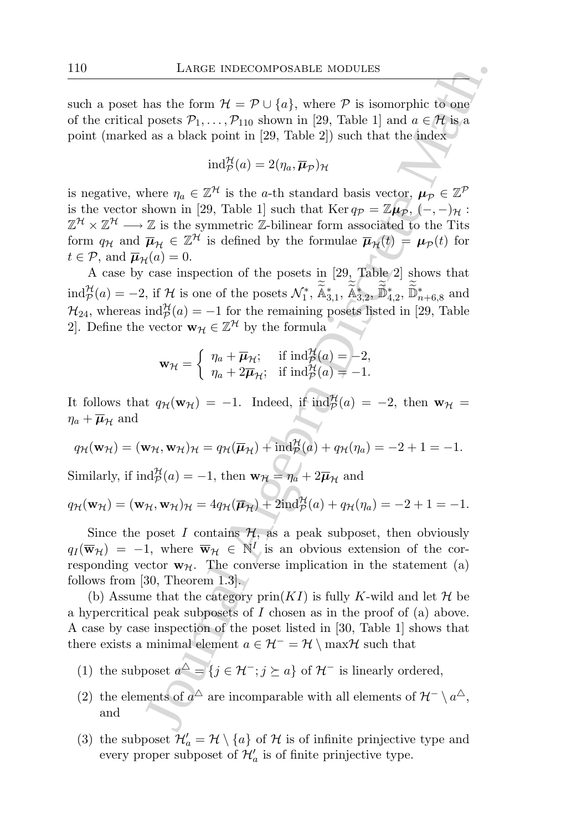such a poset has the form  $\mathcal{H} = \mathcal{P} \cup \{a\}$ , where  $\mathcal P$  is isomorphic to one of the critical posets  $\mathcal{P}_1, \ldots, \mathcal{P}_{110}$  shown in [29, Table 1] and  $a \in \mathcal{H}$  is a point (marked as a black point in [29, Table 2]) such that the index

$$
\mathrm{ind}_{\mathcal{P}}^{\mathcal{H}}(a) = 2(\eta_a, \overline{\boldsymbol{\mu}}_{\mathcal{P}})_{\mathcal{H}}
$$

LARGE INDECOMPOSABLE MODULES<br>
has the form  $\mathcal{H} = \mathcal{P} \cup \{a\}$ , where  $\mathcal{P}$  is isomorphic to one<br>
posets  $\mathcal{P}_1, ..., \mathcal{P}_{10}$  shown in [29, Table 1] and  $a \in \mathcal{H}$  is,<br>
d as a black point in [29, Table 2]) such tha is negative, where  $\eta_a \in \mathbb{Z}^{\mathcal{H}}$  is the a-th standard basis vector,  $\mu_p \in \mathbb{Z}^{\mathcal{P}}$ is the vector shown in [29, Table 1] such that Ker  $q_p = \mathbb{Z}\mu_p$ ,  $(-,-)_{\mathcal{H}}$ :  $\mathbb{Z}^{\mathcal{H}} \times \mathbb{Z}^{\mathcal{H}} \longrightarrow \mathbb{Z}$  is the symmetric  $\mathbb{Z}$ -bilinear form associated to the Tits form  $q_H$  and  $\overline{\mu}_H \in \mathbb{Z}^H$  is defined by the formulae  $\overline{\mu}_H(t) = \mu_P(t)$  for  $t \in \mathcal{P}$ , and  $\overline{\mu}_{\mathcal{H}}(a) = 0$ .

A case by case inspection of the posets in [29, Table 2] shows that  $\text{ind}_{\mathcal{P}}^{\mathcal{H}}(a) = -2$ , if  $\mathcal{H}$  is one of the posets  $\mathcal{N}_1^*, \tilde{\mathbb{A}}_{3,1}^*, \tilde{\mathbb{A}}_{3,2}^*, \tilde{\mathbb{D}}_{4,2}^*, \tilde{\mathbb{D}}_{n+6,8}^*$  and  $\mathcal{H}_{24}$ , whereas  $\text{ind}_{\mathcal{P}}^{\mathcal{H}}(a) = -1$  for the remaining posets listed in [29, Table 2. Define the vector  $\mathbf{w}_{\mathcal{H}} \in \mathbb{Z}^{\mathcal{H}}$  by the formula

$$
\mathbf{w}_{\mathcal{H}} = \begin{cases} \eta_a + \overline{\mu}_{\mathcal{H}}; & \text{if } \mathrm{ind}_{\mathcal{P}}^{\mathcal{H}}(a) = -2, \\ \eta_a + 2\overline{\mu}_{\mathcal{H}}; & \text{if } \mathrm{ind}_{\mathcal{P}}^{\mathcal{H}}(a) = -1. \end{cases}
$$

It follows that  $q_{\mathcal{H}}(\mathbf{w}_{\mathcal{H}}) = -1$ . Indeed, if  $\text{ind}_{\mathcal{P}}^{\mathcal{H}}(a) = -2$ , then  $\mathbf{w}_{\mathcal{H}} =$  $\eta_a + \overline{\boldsymbol{\mu}}_{\mathcal{H}}$  and

$$
q_{\mathcal{H}}(\mathbf{w}_{\mathcal{H}}) = (\mathbf{w}_{\mathcal{H}}, \mathbf{w}_{\mathcal{H}})_{\mathcal{H}} = q_{\mathcal{H}}(\overline{\boldsymbol{\mu}}_{\mathcal{H}}) + \mathrm{ind}_{\mathcal{P}}^{\mathcal{H}}(a) + q_{\mathcal{H}}(\eta_a) = -2 + 1 = -1.
$$

Similarly, if  $\text{ind}_{\mathcal{P}}^{\mathcal{H}}(a) = -1$ , then  $\mathbf{w}_{\mathcal{H}} = \eta_a + 2\overline{\boldsymbol{\mu}}_{\mathcal{H}}$  and

$$
q_{\mathcal{H}}(\mathbf{w}_{\mathcal{H}}) = (\mathbf{w}_{\mathcal{H}}, \mathbf{w}_{\mathcal{H}})_{\mathcal{H}} = 4q_{\mathcal{H}}(\overline{\boldsymbol{\mu}}_{\mathcal{H}}) + 2\mathrm{ind}_{\mathcal{P}}^{\mathcal{H}}(a) + q_{\mathcal{H}}(\eta_a) = -2 + 1 = -1.
$$

Since the poset I contains  $H$ , as a peak subposet, then obviously  $q_I(\overline{\mathbf{w}}_{\mathcal{H}}) = -1$ , where  $\overline{\mathbf{w}}_{\mathcal{H}} \in \mathbb{N}^I$  is an obvious extension of the corresponding vector  $w_{\mathcal{H}}$ . The converse implication in the statement (a) follows from [30, Theorem 1.3].

(b) Assume that the category  $\text{prin}(KI)$  is fully K-wild and let H be a hypercritical peak subposets of I chosen as in the proof of (a) above. A case by case inspection of the poset listed in [30, Table 1] shows that there exists a minimal element  $a \in \mathcal{H}^- = \mathcal{H} \setminus \max \mathcal{H}$  such that

- (1) the subposet  $a^{\triangle} = \{j \in \mathcal{H}^-; j \succeq a\}$  of  $\mathcal{H}^-$  is linearly ordered,
- (2) the elements of  $a^{\triangle}$  are incomparable with all elements of  $\mathcal{H}^- \setminus a^{\triangle}$ , and
- (3) the subposet  $\mathcal{H}'_a = \mathcal{H} \setminus \{a\}$  of  $\mathcal{H}$  is of infinite prinjective type and every proper subposet of  $\mathcal{H}'_a$  is of finite prinjective type.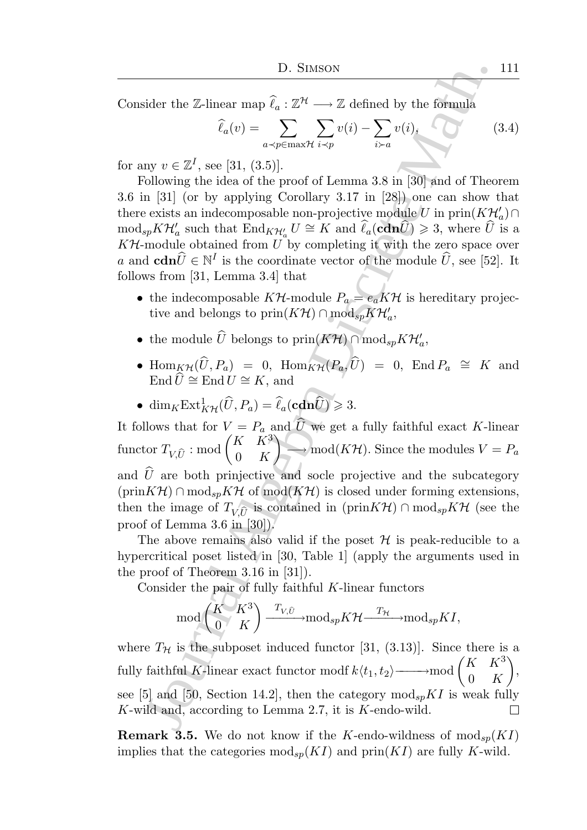Consider the Z-linear map  $\widehat{\ell}_a : \mathbb{Z}^{\mathcal{H}} \longrightarrow \mathbb{Z}$  defined by the formula

$$
\widehat{\ell}_a(v) = \sum_{a \prec p \in \max \mathcal{H}} \sum_{i \prec p} v(i) - \sum_{i \succ a} v(i), \qquad (3.4)
$$

for any  $v \in \mathbb{Z}^I$ , see [31, (3.5)].

Following the idea of the proof of Lemma 3.8 in [30] and of Theorem 3.6 in [31] (or by applying Corollary 3.17 in [28]) one can show that there exists an indecomposable non-projective module U in  $\text{prin}(K{\mathcal H}'_a) \cap$  $\text{mod}_{sp} K \mathcal{H}'_a$  such that  $\text{End}_{K \mathcal{H}'_a} U \cong K$  and  $\widehat{\ell}_a(\text{cdn}\widehat{U}) \geq 3$ , where  $\widehat{U}$  is a  $K\mathcal{H}$ -module obtained from U by completing it with the zero space over a and  $\mathbf{cdn}\hat{U} \in \mathbb{N}^I$  is the coordinate vector of the module  $\hat{U}$ , see [52]. It follows from [31, Lemma 3.4] that

- the indecomposable  $K\mathcal{H}$ -module  $P_a = e_a K\mathcal{H}$  is hereditary projective and belongs to  $\text{prin}(K\mathcal{H})\cap \text{mod}_{sp}K\mathcal{H}'_a$ ,
- the module  $\widehat{U}$  belongs to  $\text{prin}(K\mathcal{H}) \cap \text{mod}_{sp}K\mathcal{H}'_a$ ,
- $\text{Hom}_{\cancel{K}\mathcal{H}}(\widehat{U}, P_a) = 0$ ,  $\text{Hom}_{\cancel{K}\mathcal{H}}(P_a, \widehat{U}) = 0$ ,  $\text{End }P_a \cong K$  and End  $\widehat{U} \cong$  End  $U \cong K$ , and

• 
$$
\dim_K \operatorname{Ext}^1_{K\mathcal{H}}(\widehat{U}, P_a) = \widehat{\ell}_a(\mathbf{cdn}\widehat{U}) \geq 3.
$$

D. Studies the Z-linear map  $\hat{\ell}_a : \mathbb{Z}^{N} \longrightarrow \mathbb{Z}$  defined by the formula<br>
sider the Z-linear map  $\hat{\ell}_a : \mathbb{Z}^{N} \longrightarrow \mathbb{Z}$  defined by the formula<br>  $\hat{\ell}_a(v) = \sum_{a \sim p \in \mathbb{Z}^{N}} \sum_{v} v(i) - \sum_{b \sim a} v(i),$ <br>
any  $v \in \mathbb{Z}^{I}$ It follows that for  $V = P_a$  and U we get a fully faithful exact K-linear  $\text{functor } T_{V, \widehat{U}} : \text{mod} \begin{pmatrix} K & \bar{K}^3 \ 0 & K \end{pmatrix}$  $0\quad K$  $\overline{ }$  $\longrightarrow \text{mod}(K\mathcal{H})$ . Since the modules  $V = P_a$ and  $\hat{U}$  are both prinjective and socle projective and the subcategory  $(\text{prin}K\mathcal{H}) \cap \text{mod}_{sp}K\mathcal{H}$  of  $\text{mod}(K\mathcal{H})$  is closed under forming extensions, then the image of  $T_{V,\widehat{U}}$  is contained in (prin $K\mathcal{H}$ ) ∩ mod<sub>sp</sub> $K\mathcal{H}$  (see the proof of Lemma 3.6 in [30]).

The above remains also valid if the poset  $\mathcal H$  is peak-reducible to a hypercritical poset listed in [30, Table 1] (apply the arguments used in the proof of Theorem 3.16 in [31]).

Consider the pair of fully faithful  $K$ -linear functors

$$
\mod \binom{K}{0} \overset{K^3}{\xrightarrow{}} \overset{T_{V,\widehat{U}}}{\xrightarrow{}} \mod_{sp} K\mathcal{H} \overset{T_{\mathcal{H}}}{\xrightarrow{}} \mod_{sp} K I,
$$

where  $T_H$  is the subposet induced functor [31, (3.13)]. Since there is a fully faithful K-linear exact functor modf  $k\langle t_1, t_2\rangle$ — $\longrightarrow$ mod  $\begin{pmatrix} K & K^3 \\ 0 & K \end{pmatrix}$  $\setminus$ , 0 K see [5] and [50, Section 14.2], then the category  $\text{mod}_{sp} K I$  is weak fully K-wild and, according to Lemma 2.7, it is K-endo-wild.  $\Box$ 

**Remark 3.5.** We do not know if the K-endo-wildness of  $\text{mod}_{sp}(KI)$ implies that the categories  $\text{mod}_{sp}(KI)$  and  $\text{prin}(KI)$  are fully K-wild.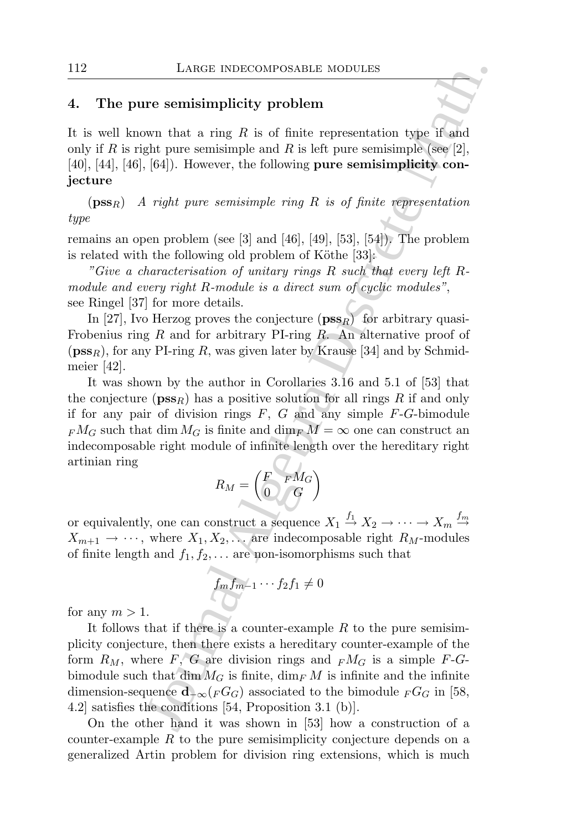# 4. The pure semisimplicity problem

It is well known that a ring  $R$  is of finite representation type if and only if R is right pure semisimple and R is left pure semisimple (see [2], [40], [44], [46], [64]). However, the following pure semisimplicity conjecture

 $(pss_R)$  A right pure semisimple ring R is of finite representation type

remains an open problem (see [3] and [46], [49], [53], [54]). The problem is related with the following old problem of Köthe  $[33]$ :

"Give a characterisation of unitary rings R such that every left Rmodule and every right R-module is a direct sum of cyclic modules", see Ringel [37] for more details.

In [27], Ivo Herzog proves the conjecture  $(\mathbf{pss}_R)$  for arbitrary quasi-Frobenius ring R and for arbitrary PI-ring R. An alternative proof of  $(pss<sub>R</sub>)$ , for any PI-ring R, was given later by Krause [34] and by Schmidmeier [42].

It was shown by the author in Corollaries 3.16 and 5.1 of [53] that the conjecture ( $\mathbf{pss}_R$ ) has a positive solution for all rings R if and only if for any pair of division rings  $F, G$  and any simple  $F-G$ -bimodule  $F M_G$  such that dim  $M_G$  is finite and dim $F M = \infty$  one can construct an indecomposable right module of infinite length over the hereditary right artinian ring

$$
R_M = \begin{pmatrix} F & F M_G \\ 0 & G \end{pmatrix}
$$

or equivalently, one can construct a sequence  $X_1 \stackrel{f_1}{\rightarrow} X_2 \rightarrow \cdots \rightarrow X_m \stackrel{f_m}{\rightarrow}$  $X_{m+1} \rightarrow \cdots$ , where  $X_1, X_2, \ldots$  are indecomposable right  $R_M$ -modules of finite length and  $f_1, f_2, \ldots$  are non-isomorphisms such that

$$
f_m f_{m-1} \cdots f_2 f_1 \neq 0
$$

for any  $m > 1$ .

LARGE INDECOMPOSABLE MODULES<br>
The semisimplicity problem<br>
wan that a ring R is of finite representation type if and<br>
ght pure semisimple and R is left pure semisimple<br>
[see [2],<br>
[64]). However, the following pure semisim It follows that if there is a counter-example  $R$  to the pure semisimplicity conjecture, then there exists a hereditary counter-example of the form  $R_M$ , where F, G are division rings and  $\mathbb{F}M_G$  is a simple F-Gbimodule such that dim  $M_G$  is finite, dim<sub>F</sub> M is infinite and the infinite dimension-sequence  $\mathbf{d}_{-\infty}(F G_G)$  associated to the bimodule  $_F G_G$  in [58, 4.2] satisfies the conditions [54, Proposition 3.1 (b)].

On the other hand it was shown in [53] how a construction of a counter-example R to the pure semisimplicity conjecture depends on a generalized Artin problem for division ring extensions, which is much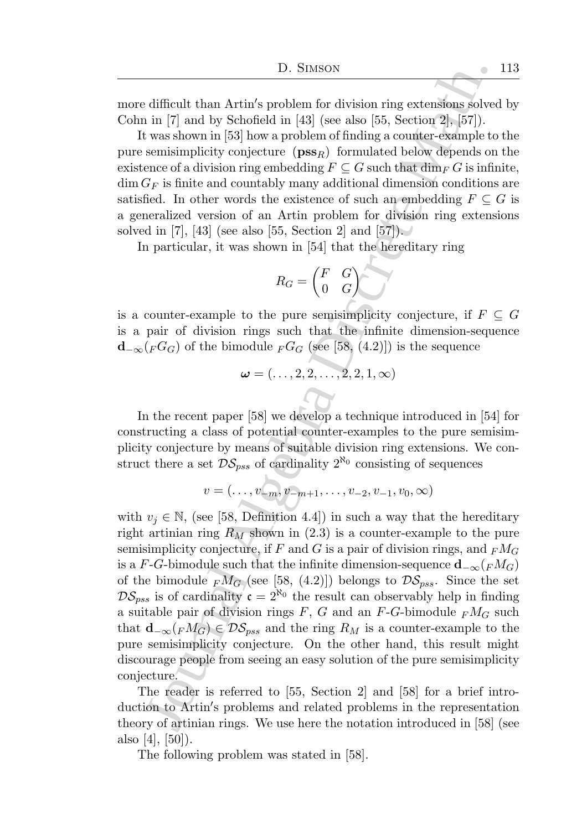more difficult than Artin′ s problem for division ring extensions solved by Cohn in [7] and by Schofield in [43] (see also [55, Section 2], [57]).

It was shown in [53] how a problem of finding a counter-example to the pure semisimplicity conjecture  $(\mathbf{pss}_R)$  formulated below depends on the existence of a division ring embedding  $F\subseteq G$  such that  $\dim_F G$  is infinite,  $\dim G_F$  is finite and countably many additional dimension conditions are satisfied. In other words the existence of such an embedding  $F \subseteq G$  is a generalized version of an Artin problem for division ring extensions solved in [7], [43] (see also [55, Section 2] and  $[57]$ .

In particular, it was shown in [54] that the hereditary ring

$$
R_G = \begin{pmatrix} F & G \\ 0 & G \end{pmatrix}
$$

is a counter-example to the pure semisimplicity conjecture, if  $F \subseteq G$ is a pair of division rings such that the infinite dimension-sequence  $\mathbf{d}_{-\infty}(FG_G)$  of the bimodule  $FG_G$  (see [58, (4.2)]) is the sequence

$$
\boldsymbol{\omega}=(\ldots,2,2,\ldots,2,2,1,\infty)
$$

In the recent paper [58] we develop a technique introduced in [54] for constructing a class of potential counter-examples to the pure semisimplicity conjecture by means of suitable division ring extensions. We construct there a set  $\mathcal{DS}_{pss}$  of cardinality  $2^{\aleph_0}$  consisting of sequences

$$
v=(\ldots,v_{-m},v_{-m+1},\ldots,v_{-2},v_{-1},v_0,\infty)
$$

D. Stusson<br>
1D. Stusson<br>
1D. Stusson ing extensions solved in it) in the viable of the informal and the space and division ing extensions solved with the 180 (sec also [55, Section 2], [57]). Semi-mathemoletic consists of with  $v_i \in \mathbb{N}$ , (see [58, Definition 4.4]) in such a way that the hereditary right artinian ring  $R_M$  shown in (2.3) is a counter-example to the pure semisimplicity conjecture, if F and G is a pair of division rings, and  $_F M_G$ is a F-G-bimodule such that the infinite dimension-sequence  $\mathbf{d}_{-\infty}({}_{F}M_G)$ of the bimodule  $_{F}M_{G}$  (see [58, (4.2)]) belongs to  $\mathcal{DS}_{pss}$ . Since the set  $\mathcal{DS}_{pss}$  is of cardinality  $\mathfrak{c} = 2^{\aleph_0}$  the result can observably help in finding a suitable pair of division rings  $F, G$  and an  $F-G$ -bimodule  $_F M_G$  such that  $\mathbf{d}_{-\infty}(F M_G) \in \mathcal{DS}_{pss}$  and the ring  $R_M$  is a counter-example to the pure semisimplicity conjecture. On the other hand, this result might discourage people from seeing an easy solution of the pure semisimplicity conjecture.

The reader is referred to [55, Section 2] and [58] for a brief introduction to Artin′ s problems and related problems in the representation theory of artinian rings. We use here the notation introduced in [58] (see also [4], [50]).

The following problem was stated in [58].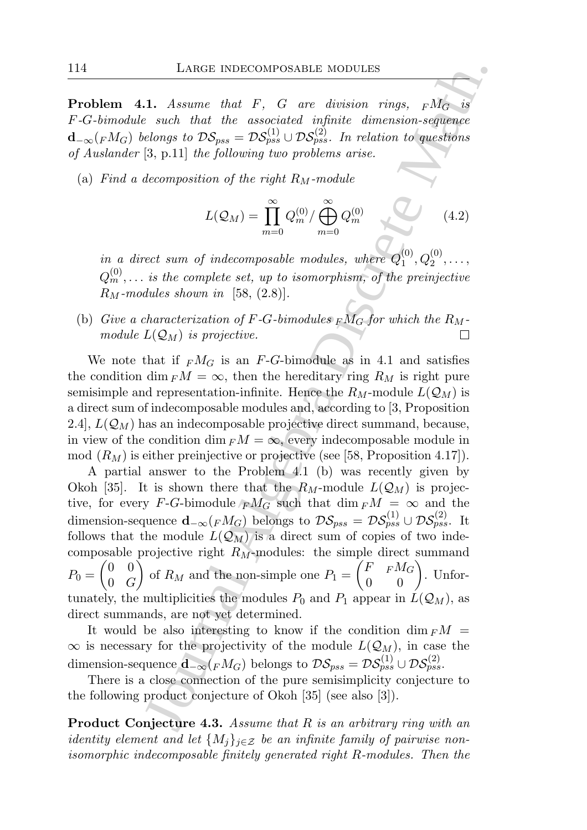**Problem 4.1.** Assume that F, G are division rings,  $F\overline{M_G}$  is F-G-bimodule such that the associated infinite dimension-sequence  $\mathbf{d}_{-\infty}({}_F{M}_G)$  belongs to  $\mathcal{DS}_{pss} = \mathcal{DS}_{pss}^{(1)} \cup \mathcal{DS}_{pss}^{(2)}$ . In relation to questions of Auslander [3, p.11] the following two problems arise.

(a) Find a decomposition of the right  $R_M$ -module

$$
L(Q_M) = \prod_{m=0}^{\infty} Q_m^{(0)} / \bigoplus_{m=0}^{\infty} Q_m^{(0)} \tag{4.2}
$$

in a direct sum of indecomposable modules, where  $Q_1^{(0)}$  $\binom{0}{1}, Q_2^{(0)}, \ldots,$  $Q_m^{(0)},\ldots$  is the complete set, up to isomorphism, of the preinjective  $R_M$ -modules shown in [58, (2.8)].

(b) Give a characterization of F-G-bimodules  $\overline{F}M_G$  for which the  $R_M$ module  $L(\mathcal{Q}_M)$  is projective.

We note that if  $<sub>F</sub>M<sub>G</sub>$  is an *F*-*G*-bimodule as in 4.1 and satisfies</sub> the condition dim  $F\mathcal{M} = \infty$ , then the hereditary ring  $R_M$  is right pure semisimple and representation-infinite. Hence the  $R_M$ -module  $L(\mathcal{Q}_M)$  is a direct sum of indecomposable modules and, according to [3, Proposition 2.4,  $L(Q_M)$  has an indecomposable projective direct summand, because, in view of the condition dim  $F\mathcal{M} = \infty$ , every indecomposable module in mod  $(R_M)$  is either preinjective or projective (see [58, Proposition 4.17]).

LARGE INDECOMPOSABLE MODULES<br>
1. Assume that F, G are division rings,  $rM_G$  is<br>  $s$  such that the associated infinite dimension-sequence<br>
colongs to  $DS_{\text{BS}}$ . Dogs( $DS_{\text{BS}}$ ),  $T$  redation to mestions<br>
[3, p.14] the foll A partial answer to the Problem 4.1 (b) was recently given by Okoh [35]. It is shown there that the  $R_M$ -module  $L(\mathcal{Q}_M)$  is projective, for every F-G-bimodule  $\bar{F}M_G$  such that  $\dim F M = \infty$  and the dimension-sequence  $\mathbf{d}_{-\infty}({}_F M_G)$  belongs to  $\mathcal{DS}_{pss} = \mathcal{DS}_{pss}^{(1)} \cup \mathcal{DS}_{pss}^{(2)}$ . It follows that the module  $L(\mathcal{Q}_M)$  is a direct sum of copies of two indecomposable projective right  $R_M$ -modules: the simple direct summand  $P_0 =$  $(0 \ 0)$  $0 \quad G$  $\tilde{\setminus}$ of  $R_M$  and the non-simple one  $P_1 =$  $\begin{pmatrix} F & F M_G \\ 0 & 0 \end{pmatrix}$ . Unfortunately, the multiplicities the modules  $P_0$  and  $P_1$  appear in  $L(\mathcal{Q}_M)$ , as direct summands, are not yet determined.

It would be also interesting to know if the condition dim  $F\mathcal{M} =$  $\infty$  is necessary for the projectivity of the module  $L(\mathcal{Q}_M)$ , in case the dimension-sequence  $\mathbf{d}_{-\infty}({}_F M_G)$  belongs to  $\mathcal{DS}_{pss} = \mathcal{DS}_{pss}^{(1)} \cup \mathcal{DS}_{pss}^{(2)}$ .

There is a close connection of the pure semisimplicity conjecture to the following product conjecture of Okoh [35] (see also [3]).

**Product Conjecture 4.3.** Assume that R is an arbitrary ring with an identity element and let  $\{M_i\}_{i\in\mathcal{Z}}$  be an infinite family of pairwise nonisomorphic indecomposable finitely generated right R-modules. Then the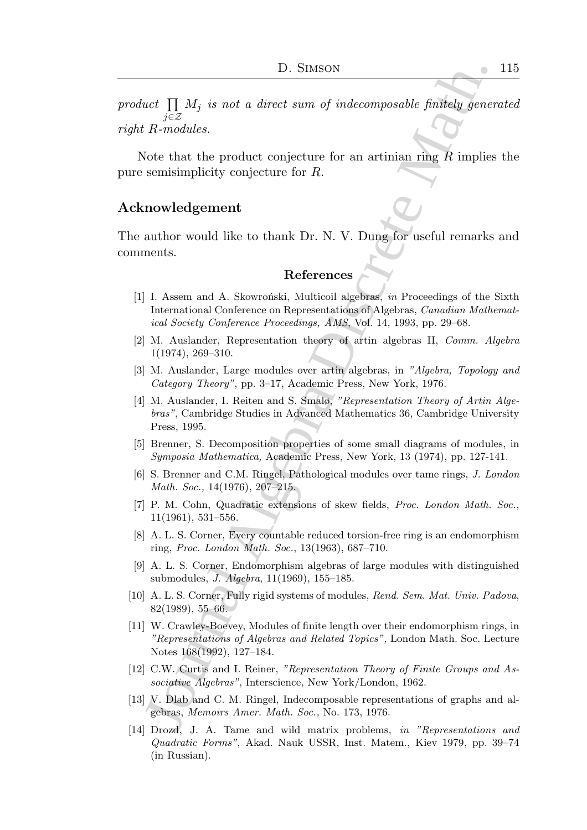product  $\prod M_j$  is not a direct sum of indecomposable finitely generated j∈Z right R-modules.

Note that the product conjecture for an artinian ring  $\overline{R}$  implies the pure semisimplicity conjecture for R.

# Acknowledgement

The author would like to thank Dr. N. V. Dung for useful remarks and comments.

# References

- [1] I. Assem and A. Skowroński, Multicoil algebras, in Proceedings of the Sixth International Conference on Representations of Algebras, Canadian Mathematical Society Conference Proceedings, AMS, Vol. 14, 1993, pp. 29–68.
- [2] M. Auslander, Representation theory of artin algebras II, Comm. Algebra 1(1974), 269–310.
- [3] M. Auslander, Large modules over artin algebras, in "Algebra, Topology and Category Theory", pp. 3–17, Academic Press, New York, 1976.
- [4] M. Auslander, I. Reiten and S. Smalø, "Representation Theory of Artin Algebras", Cambridge Studies in Advanced Mathematics 36, Cambridge University Press, 1995.
- [5] Brenner, S. Decomposition properties of some small diagrams of modules, in Symposia Mathematica, Academic Press, New York, 13 (1974), pp. 127-141.
- [6] S. Brenner and C.M. Ringel, Pathological modules over tame rings, J. London Math. Soc., 14(1976), 207–215.
- [7] P. M. Cohn, Quadratic extensions of skew fields, Proc. London Math. Soc., 11(1961), 531–556.
- [8] A. L. S. Corner, Every countable reduced torsion-free ring is an endomorphism ring, Proc. London Math. Soc., 13(1963), 687–710.
- [9] A. L. S. Corner, Endomorphism algebras of large modules with distinguished submodules, J. Algebra, 11(1969), 155–185.
- [10] A. L. S. Corner, Fully rigid systems of modules, Rend. Sem. Mat. Univ. Padova, 82(1989), 55–66.
- 10. Stutson<br>
10. Stutson<br>
10. Stute and the composable findeling gener<br>
17.  $\overline{i} \in \mathbb{Z}$ <br>
17.  $R_{\text{non}}$  and a direct sum of indecomposable findeling gener<br>
17.  $R_{\text{non}}$ <br>
17.  $R_{\text{non}}$  and a skownedicture for an artini [11] W. Crawley-Boevey, Modules of finite length over their endomorphism rings, in "Representations of Algebras and Related Topics", London Math. Soc. Lecture Notes 168(1992), 127–184.
- [12] C.W. Curtis and I. Reiner, "Representation Theory of Finite Groups and Associative Algebras", Interscience, New York/London, 1962.
- [13] V. Dlab and C. M. Ringel, Indecomposable representations of graphs and algebras, Memoirs Amer. Math. Soc., No. 173, 1976.
- [14] Drozd, J. A. Tame and wild matrix problems, in "Representations and Quadratic Forms", Akad. Nauk USSR, Inst. Matem., Kiev 1979, pp. 39–74 (in Russian).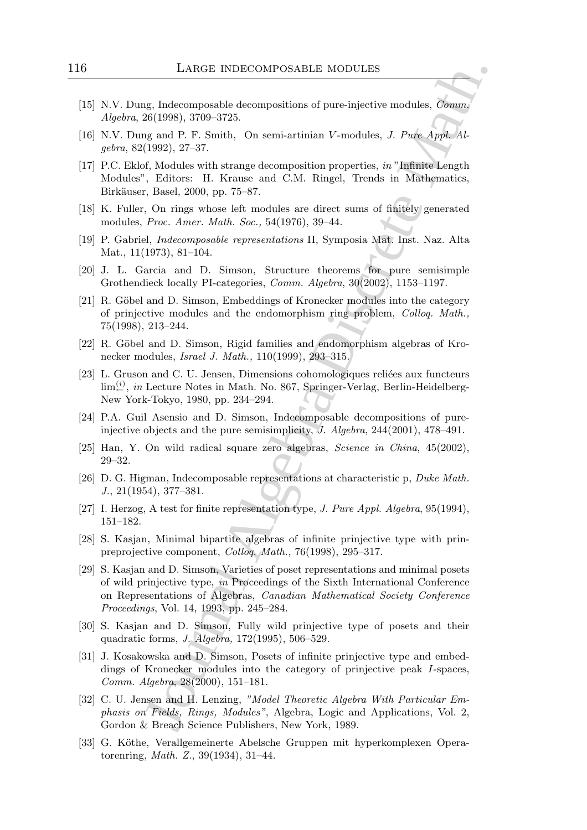- [15] N.V. Dung, Indecomposable decompositions of pure-injective modules, Comm. Algebra, 26(1998), 3709–3725.
- [16] N.V. Dung and P. F. Smith, On semi-artinian V-modules, J. Pure Appl. Algebra, 82(1992), 27–37.
- [17] P.C. Eklof, Modules with strange decomposition properties, in "Infinite Length Modules", Editors: H. Krause and C.M. Ringel, Trends in Mathematics, Birkäuser, Basel, 2000, pp. 75–87.
- [18] K. Fuller, On rings whose left modules are direct sums of finitely generated modules, Proc. Amer. Math. Soc., 54(1976), 39–44.
- [19] P. Gabriel, Indecomposable representations II, Symposia Mat. Inst. Naz. Alta Mat., 11(1973), 81–104.
- [20] J. L. Garcia and D. Simson, Structure theorems for pure semisimple Grothendieck locally PI-categories, Comm. Algebra, 30(2002), 1153–1197.
- [21] R. Göbel and D. Simson, Embeddings of Kronecker modules into the category of prinjective modules and the endomorphism ring problem, Colloq. Math., 75(1998), 213–244.
- [22] R. Göbel and D. Simson, Rigid families and endomorphism algebras of Kronecker modules, Israel J. Math., 110(1999), 293–315.
- [23] L. Gruson and C. U. Jensen, Dimensions cohomologiques reliées aux functeurs  $\lim_{i}^{(i)}$ , in Lecture Notes in Math. No. 867, Springer-Verlag, Berlin-Heidelberg-New York-Tokyo, 1980, pp. 234–294.
- [24] P.A. Guil Asensio and D. Simson, Indecomposable decompositions of pureinjective objects and the pure semisimplicity, J. Algebra, 244(2001), 478–491.
- [25] Han, Y. On wild radical square zero algebras, Science in China, 45(2002), 29–32.
- [26] D. G. Higman, Indecomposable representations at characteristic p, Duke Math. J., 21(1954), 377–381.
- [27] I. Herzog, A test for finite representation type, J. Pure Appl. Algebra, 95(1994), 151–182.
- [28] S. Kasjan, Minimal bipartite algebras of infinite prinjective type with prinpreprojective component, Colloq. Math., 76(1998), 295–317.
- LARGE INDECOMPOSABLE MODULES<br>
ug, Indecomposable decompositions of pure-injective modules,  $\hat{G}_{\text{PMRQ}}$ <br>
26(1999), 370–3725.<br>
16(1992), 27-37.<br>
16, Machines with strange decompositions of pure-injective modules,  $J$ . Pu [29] S. Kasjan and D. Simson, Varieties of poset representations and minimal posets of wild prinjective type, in Proceedings of the Sixth International Conference on Representations of Algebras, Canadian Mathematical Society Conference Proceedings, Vol. 14, 1993, pp. 245–284.
- [30] S. Kasjan and D. Simson, Fully wild prinjective type of posets and their quadratic forms, J. Algebra, 172(1995), 506–529.
- [31] J. Kosakowska and D. Simson, Posets of infinite prinjective type and embeddings of Kronecker modules into the category of prinjective peak I-spaces, Comm. Algebra, 28(2000), 151–181.
- [32] C. U. Jensen and H. Lenzing, "Model Theoretic Algebra With Particular Emphasis on Fields, Rings, Modules", Algebra, Logic and Applications, Vol. 2, Gordon & Breach Science Publishers, New York, 1989.
- [33] G. Köthe, Verallgemeinerte Abelsche Gruppen mit hyperkomplexen Operatorenring, Math. Z., 39(1934), 31–44.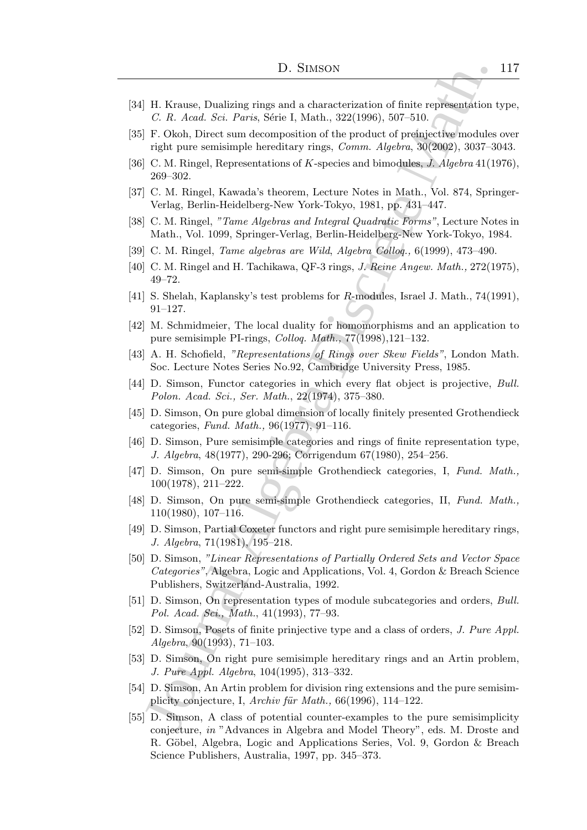- [34] H. Krause, Dualizing rings and a characterization of finite representation type, C. R. Acad. Sci. Paris, Série I, Math., 322(1996), 507–510.
- [35] F. Okoh, Direct sum decomposition of the product of preinjective modules over right pure semisimple hereditary rings, Comm. Algebra, 30(2002), 3037–3043.
- [36] C. M. Ringel, Representations of K-species and bimodules, J. Algebra 41(1976), 269–302.
- [37] C. M. Ringel, Kawada's theorem, Lecture Notes in Math., Vol. 874, Springer-Verlag, Berlin-Heidelberg-New York-Tokyo, 1981, pp. 431–447.
- [38] C. M. Ringel, "Tame Algebras and Integral Quadratic Forms", Lecture Notes in Math., Vol. 1099, Springer-Verlag, Berlin-Heidelberg-New York-Tokyo, 1984.
- [39] C. M. Ringel, Tame algebras are Wild, Algebra Colloq., 6(1999), 473–490.
- [40] C. M. Ringel and H. Tachikawa, QF-3 rings, J. Reine Angew. Math., 272(1975), 49–72.
- [41] S. Shelah, Kaplansky's test problems for R-modules, Israel J. Math., 74(1991), 91–127.
- [42] M. Schmidmeier, The local duality for homomorphisms and an application to pure semisimple PI-rings, Colloq. Math., 77(1998),121–132.
- [43] A. H. Schofield, "Representations of Rings over Skew Fields", London Math. Soc. Lecture Notes Series No.92, Cambridge University Press, 1985.
- [44] D. Simson, Functor categories in which every flat object is projective, Bull. Polon. Acad. Sci., Ser. Math., 22(1974), 375–380.
- [45] D. Simson, On pure global dimension of locally finitely presented Grothendieck categories, Fund. Math., 96(1977), 91–116.
- [46] D. Simson, Pure semisimple categories and rings of finite representation type, J. Algebra, 48(1977), 290-296; Corrigendum 67(1980), 254–256.
- [47] D. Simson, On pure semi-simple Grothendieck categories, I, Fund. Math., 100(1978), 211–222.
- [48] D. Simson, On pure semi-simple Grothendieck categories, II, Fund. Math., 110(1980), 107–116.
- [49] D. Simson, Partial Coxeter functors and right pure semisimple hereditary rings, J. Algebra, 71(1981), 195–218.
- 1D. St<br/>MSON<br>
1D. Krasas, Dualizing rings and a characterization of finite representation<br/> $C$ . R. And. St. Pers, Serie I, Math., 322<br/>(1996), 307-510. The Uniter semisimple hereditary rings,<br/> $Conv$ 10. Math. 202 [50] D. Simson, "Linear Representations of Partially Ordered Sets and Vector Space Categories", Algebra, Logic and Applications, Vol. 4, Gordon & Breach Science Publishers, Switzerland-Australia, 1992.
- [51] D. Simson, On representation types of module subcategories and orders, Bull. Pol. Acad. Sci., Math., 41(1993), 77–93.
- [52] D. Simson, Posets of finite prinjective type and a class of orders, J. Pure Appl. Algebra, 90(1993), 71–103.
- [53] D. Simson, On right pure semisimple hereditary rings and an Artin problem, J. Pure Appl. Algebra, 104(1995), 313–332.
- [54] D. Simson, An Artin problem for division ring extensions and the pure semisimplicity conjecture, I, Archiv für Math.,  $66(1996)$ , 114–122.
- [55] D. Simson, A class of potential counter-examples to the pure semisimplicity conjecture, in "Advances in Algebra and Model Theory", eds. M. Droste and R. Göbel, Algebra, Logic and Applications Series, Vol. 9, Gordon & Breach Science Publishers, Australia, 1997, pp. 345–373.